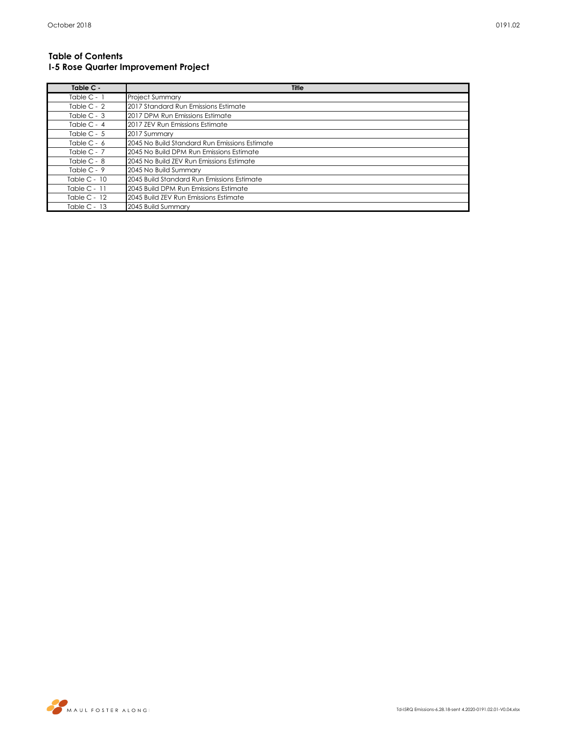## **Table of Contents I-5 Rose Quarter Improvement Project**

| Table C -      | Title                                         |
|----------------|-----------------------------------------------|
| Table $C - 1$  | <b>Project Summary</b>                        |
| Table $C - 2$  | 2017 Standard Run Emissions Estimate          |
| Table $C - 3$  | 2017 DPM Run Emissions Estimate               |
| Table $C - 4$  | 2017 ZEV Run Emissions Estimate               |
| Table $C - 5$  | 2017 Summary                                  |
| Table $C - 6$  | 2045 No Build Standard Run Emissions Estimate |
| Table $C - 7$  | 2045 No Build DPM Run Emissions Estimate      |
| Table $C - 8$  | 2045 No Build ZEV Run Emissions Estimate      |
| Table $C - 9$  | 2045 No Build Summary                         |
| Table C - $10$ | 2045 Build Standard Run Emissions Estimate    |
| Table $C - 11$ | 2045 Build DPM Run Emissions Estimate         |
| Table $C - 12$ | 2045 Build ZEV Run Emissions Estimate         |
| Table $C - 13$ | 2045 Build Summary                            |

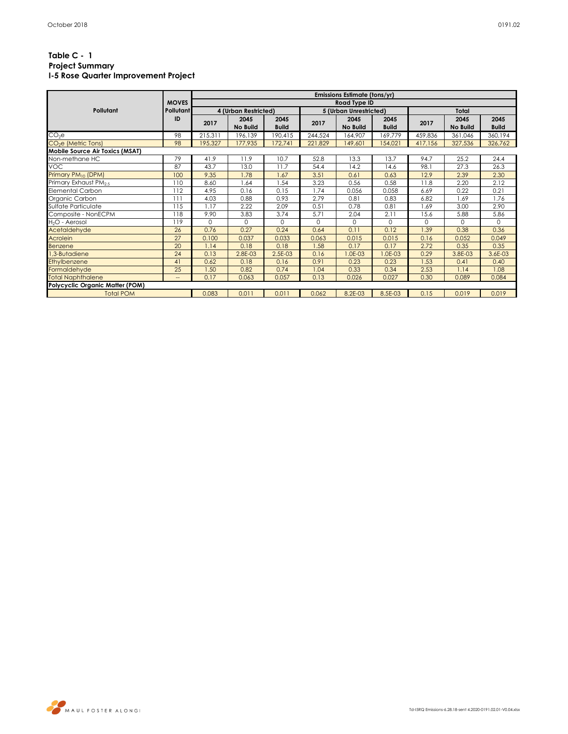|                                        |                  |                      |              |              |                        | Emissions Estimate (tons/yr) |              |          |          |              |  |  |
|----------------------------------------|------------------|----------------------|--------------|--------------|------------------------|------------------------------|--------------|----------|----------|--------------|--|--|
|                                        | <b>MOVES</b>     |                      | Road Type ID |              |                        |                              |              |          |          |              |  |  |
| Pollutant                              | <b>Pollutant</b> | 4 (Urban Restricted) |              |              | 5 (Urban Unrestricted) |                              |              | Total    |          |              |  |  |
|                                        | ID               | 2017                 | 2045         | 2045         | 2017                   | 2045                         | 2045         | 2017     | 2045     | 2045         |  |  |
|                                        |                  |                      | No Build     | <b>Build</b> |                        | No Build                     | <b>Build</b> |          | No Build | <b>Build</b> |  |  |
| $CO2$ e                                | 98               | 215,311              | 196,139      | 190,415      | 244,524                | 164,907                      | 169,779      | 459,836  | 361,046  | 360,194      |  |  |
| CO <sub>2</sub> e (Metric Tons)        | 98               | 195,327              | 177,935      | 172,741      | 221,829                | 149,601                      | 154,021      | 417,156  | 327,536  | 326,762      |  |  |
| Mobile Source Air Toxics (MSAT)        |                  |                      |              |              |                        |                              |              |          |          |              |  |  |
| Non-methane HC                         | 79               | 41.9                 | 11.9         | 10.7         | 52.8                   | 13.3                         | 13.7         | 94.7     | 25.2     | 24.4         |  |  |
| <b>VOC</b>                             | 87               | 43.7                 | 13.0         | 11.7         | 54.4                   | 14.2                         | 14.6         | 98.1     | 27.3     | 26.3         |  |  |
| Primary PM <sub>10</sub> (DPM)         | 100              | 9.35                 | 1.78         | 1.67         | 3.51                   | 0.61                         | 0.63         | 12.9     | 2.39     | 2.30         |  |  |
| Primary Exhaust PM <sub>25</sub>       | 110              | 8.60                 | 1.64         | 1.54         | 3.23                   | 0.56                         | 0.58         | 11.8     | 2.20     | 2.12         |  |  |
| <b>Elemental Carbon</b>                | 112              | 4.95                 | 0.16         | 0.15         | 1.74                   | 0.056                        | 0.058        | 6.69     | 0.22     | 0.21         |  |  |
| Organic Carbon                         | 111              | 4.03                 | 0.88         | 0.93         | 2.79                   | 0.81                         | 0.83         | 6.82     | 1.69     | 1.76         |  |  |
| Sulfate Particulate                    | 115              | 1.17                 | 2.22         | 2.09         | 0.51                   | 0.78                         | 0.81         | 1.69     | 3.00     | 2.90         |  |  |
| Composite - NonECPM                    | 118              | 9.90                 | 3.83         | 3.74         | 5.71                   | 2.04                         | 2.11         | 15.6     | 5.88     | 5.86         |  |  |
| H <sub>2</sub> O - Aerosol             | 119              | $\Omega$             | $\Omega$     | $\Omega$     | $\Omega$               | $\Omega$                     | $\Omega$     | $\Omega$ | $\Omega$ | $\Omega$     |  |  |
| Acetaldehyde                           | 26               | 0.76                 | 0.27         | 0.24         | 0.64                   | 0.11                         | 0.12         | 1.39     | 0.38     | 0.36         |  |  |
| Acrolein                               | 27               | 0.100                | 0.037        | 0.033        | 0.063                  | 0.015                        | 0.015        | 0.16     | 0.052    | 0.049        |  |  |
| Benzene                                | 20               | 1.14                 | 0.18         | 0.18         | 1.58                   | 0.17                         | 0.17         | 2.72     | 0.35     | 0.35         |  |  |
| 1,3-Butadiene                          | 24               | 0.13                 | 2.8E-03      | 2.5E-03      | 0.16                   | I.0E-03                      | $0E-03$      | 0.29     | 3.8E-03  | 3.6E-03      |  |  |
| Ethylbenzene                           | 41               | 0.62                 | 0.18         | 0.16         | 0.91                   | 0.23                         | 0.23         | 1.53     | 0.41     | 0.40         |  |  |
| Formaldehyde                           | 25               | 1.50                 | 0.82         | 0.74         | 1.04                   | 0.33                         | 0.34         | 2.53     | 1.14     | 1.08         |  |  |
| <b>Total Naphthalene</b>               | $-$              | 0.17                 | 0.063        | 0.057        | 0.13                   | 0.026                        | 0.027        | 0.30     | 0.089    | 0.084        |  |  |
| <b>Polycyclic Organic Matter (POM)</b> |                  |                      |              |              |                        |                              |              |          |          |              |  |  |
| <b>Total POM</b>                       |                  | 0.083                | 0.011        | 0.011        | 0.062                  | 8.2E-03                      | 8.5E-03      | 0.15     | 0.019    | 0.019        |  |  |

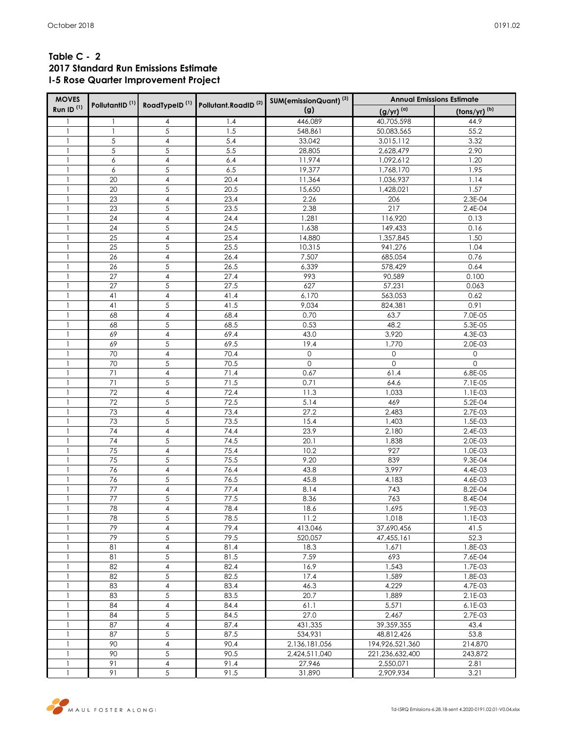# **Table C - 2 2017 Standard Run Emissions Estimate I-5 Rose Quarter Improvement Project**

| <b>MOVES</b>          | PollutantID <sup>(1)</sup> RoadTypeID <sup>(1)</sup> Pollutant.RoadID <sup>(2)</sup> |                              |              | SUM(emissionQuant) <sup>(3)</sup> | <b>Annual Emissions Estimate</b> |                          |  |  |  |
|-----------------------|--------------------------------------------------------------------------------------|------------------------------|--------------|-----------------------------------|----------------------------------|--------------------------|--|--|--|
| Run ID <sup>(1)</sup> |                                                                                      |                              |              | (g)                               | $(g/yr)^{(a)}$                   | (tons/yr) <sup>(b)</sup> |  |  |  |
|                       | 1                                                                                    | 4                            | 1.4          | 446,089                           | 40,705,598                       | 44.9                     |  |  |  |
| $\mathbf{1}$          | $\mathbf{1}$                                                                         | $\sqrt{5}$                   | 1.5          | 548,861                           | 50,083,565                       | 55.2                     |  |  |  |
| 1                     | 5                                                                                    | $\overline{4}$               | 5.4          | 33,042                            | 3,015,112                        | 3.32                     |  |  |  |
|                       | 5                                                                                    | 5                            | 5.5          | 28,805                            | 2,628,479                        | 2.90                     |  |  |  |
|                       | 6                                                                                    | $\overline{4}$               | 6.4          | 11,974                            | 1,092,612                        | 1.20                     |  |  |  |
|                       | 6                                                                                    | $\sqrt{5}$                   | 6.5          | 19,377                            | 1,768,170                        | 1.95                     |  |  |  |
|                       | 20                                                                                   | $\overline{\mathbf{4}}$      | 20.4         | 11,364                            | 1,036,937                        | 1.14                     |  |  |  |
|                       | 20                                                                                   | $\sqrt{5}$                   | 20.5         | 15,650                            | 1,428,021                        | 1.57                     |  |  |  |
|                       | 23                                                                                   | $\overline{4}$               | 23.4         | 2.26                              | 206                              | 2.3E-04                  |  |  |  |
|                       | 23                                                                                   | $\sqrt{5}$                   | 23.5         | 2.38                              | 217                              | 2.4E-04                  |  |  |  |
|                       | 24                                                                                   | $\sqrt{4}$                   | 24.4         | 1,281                             | 116,920                          | 0.13                     |  |  |  |
| 1                     | 24                                                                                   | $\sqrt{5}$                   | 24.5         | 1,638                             | 149,433                          | 0.16                     |  |  |  |
|                       | 25                                                                                   | $\overline{4}$               | 25.4         | 14,880                            | 1,357,845                        | 1.50                     |  |  |  |
|                       | 25                                                                                   | 5                            | 25.5         | 10,315                            | 941,276                          | 1.04                     |  |  |  |
|                       | 26                                                                                   | $\sqrt{4}$                   | 26.4         | 7,507                             | 685,054                          | 0.76                     |  |  |  |
|                       | 26                                                                                   | $\sqrt{5}$                   | 26.5         | 6,339                             | 578,429                          | 0.64                     |  |  |  |
|                       | 27                                                                                   | $\overline{\mathbf{4}}$      | 27.4         | 993                               | 90,589                           | 0.100                    |  |  |  |
|                       | 27                                                                                   | 5                            | 27.5         | 627                               | 57,231                           | 0.063                    |  |  |  |
|                       | 41                                                                                   | $\sqrt{4}$                   | 41.4         | 6,170                             | 563,053                          | 0.62                     |  |  |  |
|                       | 41                                                                                   | $\sqrt{5}$                   | 41.5         | 9,034                             | 824,381                          | 0.91                     |  |  |  |
|                       | 68                                                                                   | $\overline{4}$               | 68.4         | 0.70                              | 63.7                             | 7.0E-05                  |  |  |  |
|                       | 68<br>69                                                                             | $\sqrt{5}$<br>4              | 68.5<br>69.4 | 0.53<br>43.0                      | 48.2<br>3,920                    | 5.3E-05<br>4.3E-03       |  |  |  |
| 1                     | 69                                                                                   | $\sqrt{5}$                   | 69.5         | 19.4                              | 1,770                            | 2.0E-03                  |  |  |  |
| 1                     | 70                                                                                   | $\overline{4}$               | 70.4         | $\mathbf{O}$                      | $\mathbf 0$                      | $\mathsf{O}\xspace$      |  |  |  |
| 1                     | 70                                                                                   | $\sqrt{5}$                   | 70.5         | $\mathbf{O}$                      | $\mathsf{O}\xspace$              | $\mathbf 0$              |  |  |  |
|                       | 71                                                                                   | $\sqrt{4}$                   | 71.4         | 0.67                              | 61.4                             | 6.8E-05                  |  |  |  |
|                       | 71                                                                                   | $\sqrt{5}$                   | 71.5         | 0.71                              | 64.6                             | 7.1E-05                  |  |  |  |
|                       | 72                                                                                   | $\overline{4}$               | 72.4         | 11.3                              | 1,033                            | 1.1E-03                  |  |  |  |
|                       | 72                                                                                   | 5                            | 72.5         | 5.14                              | 469                              | 5.2E-04                  |  |  |  |
| 1                     | 73                                                                                   | $\overline{\mathbf{4}}$      | 73.4         | 27.2                              | 2,483                            | 2.7E-03                  |  |  |  |
|                       | 73                                                                                   | $\sqrt{5}$                   | 73.5         | 15.4                              | 1,403                            | 1.5E-03                  |  |  |  |
|                       | 74                                                                                   | $\overline{\mathbf{4}}$      | 74.4         | 23.9                              | 2,180                            | 2.4E-03                  |  |  |  |
|                       | 74                                                                                   | 5                            | 74.5         | 20.1                              | 1,838                            | 2.0E-03                  |  |  |  |
|                       | 75                                                                                   | $\overline{\mathbf{4}}$      | 75.4         | 10.2                              | 927                              | 1.0E-03                  |  |  |  |
|                       | 75                                                                                   | $\sqrt{5}$                   | 75.5         | 9.20                              | 839                              | 9.3E-04                  |  |  |  |
| 1                     | 76                                                                                   | $\overline{\mathbf{4}}$      | 76.4         | 43.8                              | 3,997                            | 4.4E-03                  |  |  |  |
|                       | 76                                                                                   | $\sqrt{5}$                   | 76.5         | 45.8                              | 4,183                            | 4.6E-03                  |  |  |  |
| 1                     | $77$                                                                                 | $\pmb{4}$                    | 77.4         | 8.14                              | 743                              | 8.2E-04                  |  |  |  |
|                       | 77                                                                                   | $\sqrt{5}$                   | 77.5         | 8.36                              | 763                              | 8.4E-04                  |  |  |  |
| 1                     | 78                                                                                   | 4                            | 78.4         | 18.6                              | 1,695                            | 1.9E-03                  |  |  |  |
|                       | 78                                                                                   | 5                            | 78.5         | 11.2                              | 1,018                            | 1.1E-03                  |  |  |  |
|                       | 79                                                                                   | $\overline{4}$               | 79.4         | 413,046                           | 37,690,456                       | 41.5                     |  |  |  |
|                       | 79                                                                                   | $\sqrt{5}$                   | 79.5         | 520,057                           | 47,455,161                       | 52.3                     |  |  |  |
|                       | 81                                                                                   | $\overline{4}$               | 81.4         | 18.3                              | 1,671                            | 1.8E-03                  |  |  |  |
|                       | 81                                                                                   | 5<br>$\overline{\mathbf{4}}$ | 81.5         | 7.59                              | 693                              | 7.6E-04                  |  |  |  |
|                       | 82                                                                                   | 5                            | 82.4         | 16.9<br>17.4                      | 1,543                            | 1.7E-03                  |  |  |  |
| 1                     | 82<br>83                                                                             | $\overline{4}$               | 82.5<br>83.4 | 46.3                              | 1,589<br>4,229                   | 1.8E-03<br>4.7E-03       |  |  |  |
| 1                     | 83                                                                                   | $\sqrt{5}$                   | 83.5         | 20.7                              | 1,889                            | 2.1E-03                  |  |  |  |
| 1                     | 84                                                                                   | $\overline{\mathbf{4}}$      | 84.4         | 61.1                              | 5,571                            | 6.1E-03                  |  |  |  |
|                       | 84                                                                                   | 5                            | 84.5         | 27.0                              | 2,467                            | 2.7E-03                  |  |  |  |
|                       | 87                                                                                   | $\overline{\mathbf{4}}$      | 87.4         | 431,335                           | 39, 359, 355                     | 43.4                     |  |  |  |
|                       | 87                                                                                   | $\sqrt{5}$                   | 87.5         | 534,931                           | 48,812,426                       | 53.8                     |  |  |  |
|                       | 90                                                                                   | $\overline{4}$               | 90.4         | 2,136,181,056                     | 194, 926, 521, 360               | 214,870                  |  |  |  |
| 1                     | 90                                                                                   | $\sqrt{5}$                   | 90.5         | 2,424,511,040                     | 221, 236, 632, 400               | 243,872                  |  |  |  |
| 1                     | 91                                                                                   | $\overline{4}$               | 91.4         | 27,946                            | 2,550,071                        | 2.81                     |  |  |  |
| 1                     | 91                                                                                   | 5                            | 91.5         | 31,890                            | 2,909,934                        | 3.21                     |  |  |  |

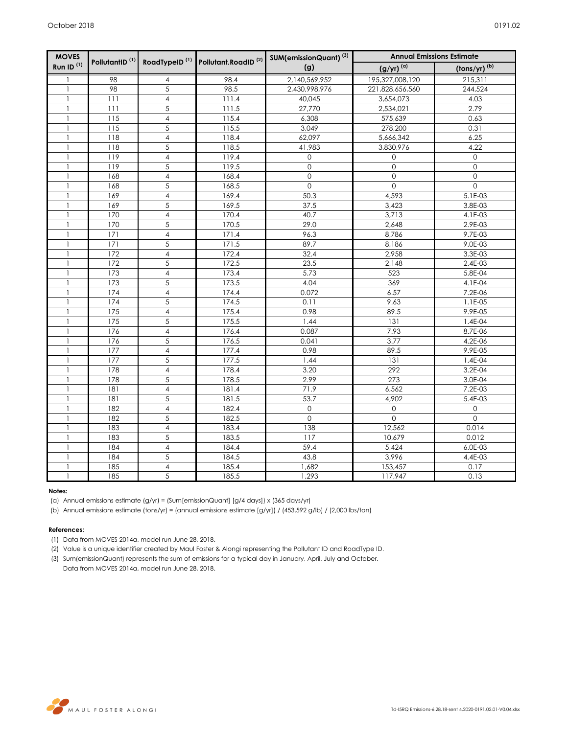| <b>MOVES</b>          | PollutantID <sup>(1)</sup> |                         | RoadTypeID <sup>(1)</sup> Pollutant.RoadID <sup>(2)</sup> | SUM(emissionQuant) <sup>(3)</sup> | <b>Annual Emissions Estimate</b> |                          |
|-----------------------|----------------------------|-------------------------|-----------------------------------------------------------|-----------------------------------|----------------------------------|--------------------------|
| Run ID <sup>(1)</sup> |                            |                         |                                                           | (g)                               | $(g/yr)^{(a)}$                   | (tons/yr) <sup>(b)</sup> |
| $\mathbf{1}$          | 98                         | 4                       | 98.4                                                      | 2,140,569,952                     | 195,327,008,120                  | 215,311                  |
| $\mathbf{1}$          | 98                         | $\overline{5}$          | 98.5                                                      | 2,430,998,976                     | 221,828,656,560                  | 244,524                  |
| $\mathbf{1}$          | 111                        | $\overline{\mathbf{4}}$ | 111.4                                                     | 40,045                            | 3,654,073                        | 4.03                     |
| 1                     | 111                        | 5                       | 111.5                                                     | 27,770                            | 2,534,021                        | 2.79                     |
|                       | 115                        | $\overline{4}$          | 115.4                                                     | 6,308                             | 575,639                          | 0.63                     |
| 1                     | 115                        | 5                       | 115.5                                                     | 3,049                             | 278,200                          | 0.31                     |
| 1                     | 118                        | $\overline{\mathbf{4}}$ | 118.4                                                     | 62,097                            | 5,666,342                        | 6.25                     |
|                       | 118                        | 5                       | 118.5                                                     | 41,983                            | 3,830,976                        | 4.22                     |
|                       | 119                        | $\overline{\mathbf{4}}$ | 119.4                                                     | 0                                 | 0                                | $\mathsf{O}\xspace$      |
|                       | 119                        | 5                       | 119.5                                                     | $\mathsf{O}\xspace$               | $\mathsf{O}\xspace$              | $\mathsf{O}\xspace$      |
|                       | 168                        | $\overline{\mathbf{4}}$ | 168.4                                                     | $\circ$                           | $\overline{0}$                   | $\mathsf{O}$             |
| $\mathbf{1}$          | 168                        | $\overline{5}$          | 168.5                                                     | $\mathsf{O}$                      | $\mathsf{O}$                     | $\mathsf{O}\xspace$      |
| 1                     | 169                        | $\overline{\mathbf{4}}$ | 169.4                                                     | 50.3                              | 4,593                            | 5.1E-03                  |
|                       | 169                        | 5                       | 169.5                                                     | 37.5                              | 3,423                            | 3.8E-03                  |
| $\mathbf{1}$          | 170                        | $\overline{\mathbf{4}}$ | 170.4                                                     | 40.7                              | 3,713                            | 4.1E-03                  |
| 1                     | 170                        | $\overline{5}$          | 170.5                                                     | 29.0                              | 2,648                            | 2.9E-03                  |
|                       | 171                        | $\overline{4}$          | 171.4                                                     | 96.3                              | 8,786                            | 9.7E-03                  |
| 1                     | 171                        | 5                       | 171.5                                                     | 89.7                              | 8,186                            | 9.0E-03                  |
| $\mathbf{1}$          | 172                        | $\overline{\mathbf{4}}$ | 172.4                                                     | 32.4                              | 2,958                            | 3.3E-03                  |
| 1                     | 172                        | 5                       | 172.5                                                     | 23.5                              | 2,148                            | 2.4E-03                  |
| 1                     | 173                        | $\overline{\mathbf{4}}$ | 173.4                                                     | 5.73                              | 523                              | 5.8E-04                  |
|                       | 173                        | 5                       | 173.5                                                     | 4.04                              | 369                              | 4.1E-04                  |
|                       | 174                        | $\overline{4}$          | 174.4                                                     | 0.072                             | 6.57                             | 7.2E-06                  |
| 1                     | 174                        | 5                       | 174.5                                                     | 0.11                              | 9.63                             | 1.1E-05                  |
|                       | 175                        | 4                       | 175.4                                                     | 0.98                              | 89.5                             | 9.9E-05                  |
|                       | 175                        | 5                       | 175.5                                                     | 1.44                              | 131                              | 1.4E-04                  |
|                       | 176                        | $\overline{4}$          | 176.4                                                     | 0.087                             | 7.93                             | 8.7E-06                  |
|                       | 176                        | 5                       | 176.5                                                     | 0.041                             | 3.77                             | 4.2E-06                  |
|                       | 177                        | $\overline{4}$          | 177.4                                                     | 0.98                              | 89.5                             | 9.9E-05                  |
|                       | 177                        | 5                       | 177.5                                                     | 1.44                              | 131                              | 1.4E-04                  |
|                       | 178                        | $\overline{4}$          | 178.4                                                     | 3.20                              | 292                              | 3.2E-04                  |
| 1                     | 178                        | 5                       | 178.5                                                     | 2.99                              | 273                              | 3.0E-04                  |
|                       | 181                        | $\overline{4}$          | 181.4                                                     | 71.9                              | 6,562                            | $7.2E-03$                |
|                       | 181                        | 5                       | 181.5                                                     | 53.7                              | 4.902                            | 5.4E-03                  |
|                       | 182                        | $\overline{4}$          | 182.4                                                     | $\mathbf{O}$                      | 0                                | 0                        |
|                       | 182                        | $\overline{5}$          | 182.5                                                     | $\Omega$                          | $\Omega$                         | $\Omega$                 |
| $\mathbf{1}$          | 183                        | $\overline{4}$          | 183.4                                                     | 138                               | 12,562                           | 0.014                    |
| 1                     | 183                        | 5                       | 183.5                                                     | 117                               | 10,679                           | 0.012                    |
|                       | 184                        | $\overline{4}$          | 184.4                                                     | 59.4                              | 5,424                            | 6.0E-03                  |
| $\mathbf{1}$          | 184                        | 5                       | 184.5                                                     | 43.8                              | 3,996                            | 4.4E-03                  |
| 1                     | 185                        | $\overline{4}$          | 185.4                                                     | 1,682                             | 153,457                          | 0.17                     |
| $\mathbf{1}$          | 185                        | 5                       | 185.5                                                     | 1,293                             | 117,947                          | 0.13                     |

#### **Notes:**

(a) Annual emissions estimate (g/yr) = (Sum[emissionQuant] [g/4 days]) x (365 days/yr)

(b) Annual emissions estimate (tons/yr) = (annual emissions estimate [g/yr]) / (453.592 g/lb) / (2,000 lbs/ton)

### **References:**

- (1) Data from MOVES 2014a, model run June 28, 2018.
- (2) Value is a unique identifier created by Maul Foster & Alongi representing the Pollutant ID and RoadType ID.
- (3) Sum(emissionQuant) represents the sum of emissions for a typical day in January, April, July and October. Data from MOVES 2014a, model run June 28, 2018.



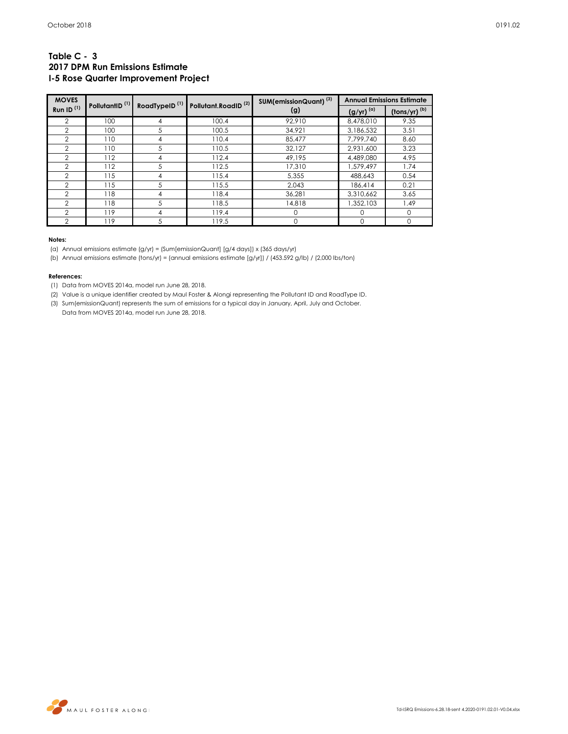## **Table C - 3 2017 DPM Run Emissions Estimate I-5 Rose Quarter Improvement Project**

| <b>MOVES</b>          |                            |                           |                                 | SUM(emissionQuant) <sup>(3)</sup> |                     | <b>Annual Emissions Estimate</b>                        |
|-----------------------|----------------------------|---------------------------|---------------------------------|-----------------------------------|---------------------|---------------------------------------------------------|
| Run ID <sup>(1)</sup> | PollutantID <sup>(1)</sup> | RoadTypeID <sup>(1)</sup> | Pollutant.RoadID <sup>(2)</sup> | (g)                               | $(g/yr)^{(\alpha)}$ | $\frac{(\text{tons/yr})^{(b)}}{(\text{tons/yr})^{(b)}}$ |
| 2                     | 100                        |                           | 100.4                           | 92,910                            | 8,478,010           | 9.35                                                    |
| 2                     | 100                        | 5                         | 100.5                           | 34,921                            | 3,186,532           | 3.51                                                    |
| $\overline{2}$        | 110                        | 4                         | 110.4                           | 85.477                            | 7,799,740           | 8.60                                                    |
| $\overline{2}$        | 110                        | 5                         | 110.5                           | 32.127                            | 2.931.600           | 3.23                                                    |
| $\overline{2}$        | 112                        | 4                         | 112.4                           | 49.195                            | 4,489,080           | 4.95                                                    |
| $\overline{2}$        | 112                        | 5                         | 112.5                           | 17,310                            | 1,579,497           | 1.74                                                    |
| $\overline{2}$        | 115                        | 4                         | 115.4                           | 5,355                             | 488,643             | 0.54                                                    |
| $\mathbf{2}$          | 115                        | 5                         | 115.5                           | 2,043                             | 186,414             | 0.21                                                    |
| $\overline{2}$        | 118                        | 4                         | 118.4                           | 36.281                            | 3,310,662           | 3.65                                                    |
| 2                     | 118                        | 5                         | 118.5                           | 14,818                            | 1,352,103           | 1.49                                                    |
| $\mathcal{P}$         | 119                        | 4                         | 119.4                           | $\Omega$                          |                     | $\Omega$                                                |
| 2                     | 119                        | 5                         | 119.5                           | 0                                 |                     | $\Omega$                                                |

### **Notes:**

(a) Annual emissions estimate (g/yr) = (Sum[emissionQuant] [g/4 days]) x (365 days/yr)

(b) Annual emissions estimate (tons/yr) = (annual emissions estimate [g/yr]) / (453.592 g/lb) / (2,000 lbs/ton)

### **References:**

(1) Data from MOVES 2014a, model run June 28, 2018.

(2) Value is a unique identifier created by Maul Foster & Alongi representing the Pollutant ID and RoadType ID.

(3) Sum(emissionQuant) represents the sum of emissions for a typical day in January, April, July and October. Data from MOVES 2014a, model run June 28, 2018.

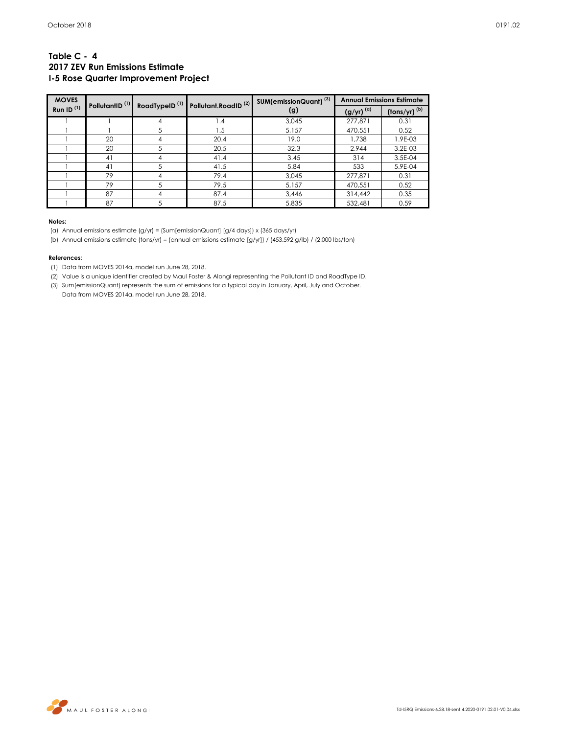## **Table C - 4 2017 ZEV Run Emissions Estimate I-5 Rose Quarter Improvement Project**

| <b>MOVES</b> | PollutantID <sup>(1)</sup> |                           | Pollutant.RoadID <sup>(2)</sup> | SUM(emissionQuant) <sup>(3)</sup> |                     | <b>Annual Emissions Estimate</b>      |
|--------------|----------------------------|---------------------------|---------------------------------|-----------------------------------|---------------------|---------------------------------------|
| Run ID $(1)$ |                            | RoadTypeID <sup>(1)</sup> |                                 | (g)                               | $(g/yr)^{(\alpha)}$ | $\frac{\text{(tons/yr)}}{\text{(b)}}$ |
|              |                            | 4                         | 1.4                             | 3.045                             | 277,871             | 0.31                                  |
|              |                            | 5                         | 1.5                             | 5,157                             | 470,551             | 0.52                                  |
|              | 20                         | 4                         | 20.4                            | 19.0                              | 1,738               | 1.9E-03                               |
|              | 20                         | 5                         | 20.5                            | 32.3                              | 2.944               | 3.2E-03                               |
|              | 41                         | 4                         | 41.4                            | 3.45                              | 314                 | 3.5E-04                               |
|              | 41                         | 5                         | 41.5                            | 5.84                              | 533                 | 5.9E-04                               |
|              | 79                         | 4                         | 79.4                            | 3,045                             | 277,871             | 0.31                                  |
|              | 79                         | 5                         | 79.5                            | 5,157                             | 470.551             | 0.52                                  |
|              | 87                         | 4                         | 87.4                            | 3,446                             | 314,442             | 0.35                                  |
|              | 87                         |                           | 87.5                            | 5,835                             | 532,481             | 0.59                                  |

#### **Notes:**

(a) Annual emissions estimate (g/yr) = (Sum[emissionQuant] [g/4 days]) x (365 days/yr)

(b) Annual emissions estimate (tons/yr) = (annual emissions estimate [g/yr]) / (453.592 g/lb) / (2,000 lbs/ton)

### **References:**

(1) Data from MOVES 2014a, model run June 28, 2018.

- (2) Value is a unique identifier created by Maul Foster & Alongi representing the Pollutant ID and RoadType ID.
- (3) Sum(emissionQuant) represents the sum of emissions for a typical day in January, April, July and October.

Data from MOVES 2014a, model run June 28, 2018.

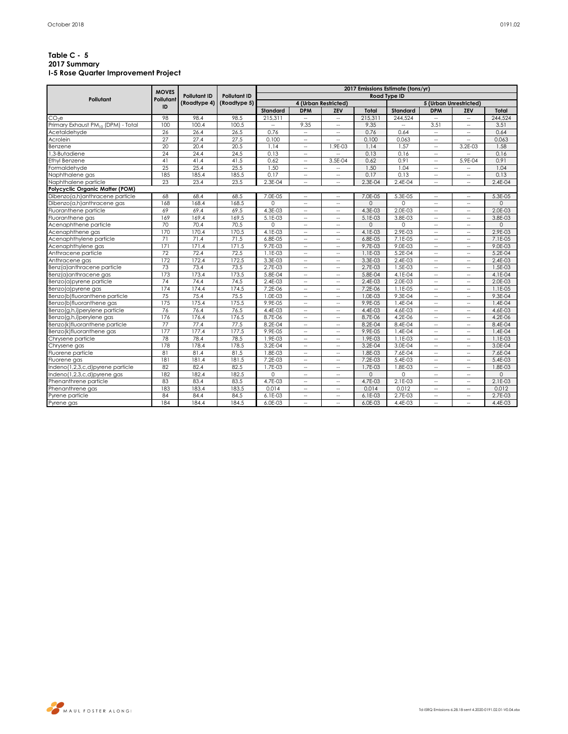## **Table C - 5 2017 Summary I-5 Rose Quarter Improvement Project**

|                                    | <b>MOVES</b> |                     | <b>Pollutant ID</b><br>(Roadtype 5) | 2017 Emissions Estimate (tons/yr) |                             |                          |             |                     |                             |                             |             |  |
|------------------------------------|--------------|---------------------|-------------------------------------|-----------------------------------|-----------------------------|--------------------------|-------------|---------------------|-----------------------------|-----------------------------|-------------|--|
| Pollutant                          | Pollutant    | <b>Pollutant ID</b> |                                     |                                   |                             |                          |             | <b>Road Type ID</b> |                             |                             |             |  |
|                                    | ID           | (Roadtype 4)        |                                     |                                   |                             | 4 (Urban Restricted)     |             |                     |                             | 5 (Urban Unrestricted)      |             |  |
|                                    |              |                     |                                     | Standard                          | <b>DPM</b>                  | <b>ZEV</b>               | Total       | Standard            | <b>DPM</b>                  | ZEV                         | Total       |  |
| CO <sub>2</sub> e                  | 98           | 98.4                | 98.5                                | 215,311                           | $\overline{\phantom{a}}$    | $\sim$                   | 215.311     | 244,524             | $\sim$                      | $\sim$                      | 244,524     |  |
| Primary Exhaust PM10 (DPM) - Total | 100          | 100.4               | 100.5                               | u.                                | 9.35                        | $\sim$                   | 9.35        | $\sim$              | 3.51                        | $\mathcal{L}_{\mathcal{A}}$ | 3.51        |  |
| Acetaldehvde                       | 26           | 26.4                | 26.5                                | 0.76                              | $\overline{\phantom{a}}$    | --                       | 0.76        | 0.64                | $\overline{\phantom{a}}$    | н.                          | 0.64        |  |
| Acrolein                           | 27           | 27.4                | 27.5                                | 0.100                             | $\overline{\phantom{a}}$    | $\overline{\phantom{a}}$ | 0.100       | 0.063               | $\overline{a}$              | $\overline{\phantom{a}}$    | 0.063       |  |
| Benzene                            | 20           | 20.4                | 20.5                                | 1.14                              | $\overline{\phantom{a}}$    | 1.9E-03                  | 1.14        | 1.57                | $\overline{\phantom{a}}$    | 3.2E-03                     | 1.58        |  |
| I.3-Butadiene                      | 24           | 24.4                | 24.5                                | 0.13                              | $\overline{\phantom{a}}$    |                          | 0.13        | 0.16                | $\sim$                      |                             | 0.16        |  |
| Ethyl Benzene                      | 41           | 41.4                | 41.5                                | 0.62                              | $\overline{\phantom{a}}$    | 3.5E-04                  | 0.62        | 0.91                | $\overline{a}$              | 5.9E-04                     | 0.91        |  |
| Formaldehyde                       | 25           | 25.4                | 25.5                                | 1.50                              | $\overline{\phantom{a}}$    | $\overline{\phantom{a}}$ | 1.50        | 1.04                | $\hspace{0.05cm} \ldots$    | $\overline{\phantom{a}}$    | 1.04        |  |
| Naphthalene gas                    | 185          | 185.4               | 185.5                               | 0.17                              | $\overline{\phantom{a}}$    | $\sim$                   | 0.17        | 0.13                | $\overline{\phantom{a}}$    | $\overline{\phantom{a}}$    | 0.13        |  |
| Naphthalene particle               | 23           | 23.4                | 23.5                                | 2.3E-04                           | $\overline{\phantom{a}}$    | $\overline{\phantom{a}}$ | 2.3E-04     | 2.4E-04             | $\overline{a}$              | $\overline{\phantom{a}}$    | 2.4E-04     |  |
| Polycyclic Organic Matter (POM)    |              |                     |                                     |                                   |                             |                          |             |                     |                             |                             |             |  |
| Dibenzo(a,h)anthracene particle    | 68           | 68.4                | 68.5                                | 7.0E-05                           | $\overline{\phantom{a}}$    | $\overline{\phantom{a}}$ | 7.0E-05     | 5.3E-05             | $\sim$                      | $\overline{\phantom{a}}$    | 5.3E-05     |  |
| Dibenzo(a,h)anthracene gas         | 168          | 168.4               | 168.5                               | $\Omega$                          | $\overline{\phantom{a}}$    | $\sim$                   | $\Omega$    | $\Omega$            | $\overline{\phantom{a}}$    | $\overline{\phantom{a}}$    | $\Omega$    |  |
| Fluoranthene particle              | 69           | 69.4                | 69.5                                | 4.3E-03                           | $\overline{\phantom{a}}$    | --                       | 4.3E-03     | 2.0E-03             | $\overline{a}$              | $\overline{\phantom{a}}$    | 2.0E-03     |  |
| Fluoranthene gas                   | 169          | 169.4               | 169.5                               | 5.1E-03                           | $\hspace{0.05cm} -$         | $\hspace{0.05cm} -$      | 5.1E-03     | 3.8E-03             | $\sim$                      | $\hspace{0.05cm} -$         | 3.8E-03     |  |
| Acenaphthene particle              | 70           | 70.4                | 70.5                                | $\Omega$                          | $\mathcal{L}_{\mathcal{A}}$ | $\sim$                   | $\Omega$    | $\Omega$            | $\mathcal{L}_{\mathcal{A}}$ | $\mathcal{L}_{\mathcal{A}}$ | $\Omega$    |  |
| Acenaphthene gas                   | 170          | 170.4               | 170.5                               | 4.1E-03                           | $\hspace{0.05cm} -$         | --                       | 4.1E-03     | 2.9E-03             | $\overline{\phantom{a}}$    | $\hspace{0.05cm} -$         | 2.9E-03     |  |
| Acenaphthylene particle            | 71           | 71.4                | 71.5                                | 6.8E-05                           | $\overline{\phantom{a}}$    | $\sim$                   | 6.8E-05     | 7.1E-05             | u.                          | $\overline{\phantom{a}}$    | 7.1E-05     |  |
| Acenaphthylene gas                 | 171          | 171.4               | 171.5                               | 9.7E-03                           | $\overline{\phantom{a}}$    | $\sim$                   | 9.7E-03     | 9.0E-03             | $\overline{\phantom{a}}$    | $\overline{\phantom{a}}$    | 9.0E-03     |  |
| Anthracene particle                | 72           | 72.4                | 72.5                                | 1.1E-03                           | $\overline{\phantom{a}}$    | $\overline{\phantom{a}}$ | 1.1E-03     | 5.2E-04             | $\sim$                      | $\overline{\phantom{a}}$    | 5.2E-04     |  |
| Anthracene gas                     | 172          | 172.4               | 172.5                               | 3.3E-03                           | $\overline{\phantom{a}}$    | $\sim$                   | 3.3E-03     | 2.4E-03             | $\overline{a}$              | $\overline{\phantom{a}}$    | 2.4E-03     |  |
| Benz(a)anthracene particle         | 73           | 73.4                | 73.5                                | 2.7E-03                           | $\overline{\phantom{a}}$    | $\sim$                   | 2.7E-03     | 1.5E-03             | $\overline{\phantom{a}}$    | $\overline{\phantom{a}}$    | 1.5E-03     |  |
| Benz(a)anthracene gas              | 173          | 173.4               | 173.5                               | 5.8E-04                           | $\overline{\phantom{a}}$    | $\sim$                   | 5.8E-04     | 4.1E-04             | $\overline{\phantom{a}}$    | $\overline{\phantom{a}}$    | 4.1E-04     |  |
| Benzo(a)pyrene particle            | 74           | 74.4                | 74.5                                | 2.4E-03                           | $\hspace{0.05cm} -$         | $\overline{\phantom{a}}$ | 2.4E-03     | 2.0E-03             | $\overline{a}$              | $\hspace{0.05cm} -$         | 2.0E-03     |  |
| Benzo(a)pyrene gas                 | 174          | 174.4               | 174.5                               | 7.2E-06                           | $\overline{\phantom{a}}$    | $\overline{\phantom{a}}$ | 7.2E-06     | 1.1E-05             | $\overline{\phantom{a}}$    | $\overline{\phantom{a}}$    | $1.1E-0.5$  |  |
| Benzo(b)fluoranthene particle      | 75           | 75.4                | 75.5                                | 1.0E-03                           | $\overline{\phantom{a}}$    | $\overline{\phantom{a}}$ | 1.0E-03     | 9.3E-04             | $\overline{\phantom{a}}$    | $\overline{\phantom{a}}$    | 9.3E-04     |  |
| Benzo(b)fluoranthene gas           | 175          | 175.4               | 175.5                               | 9.9E-05                           | $\overline{\phantom{a}}$    | $\sim$                   | 9.9E-05     | $1.4E - 04$         | $\overline{\phantom{a}}$    | $\overline{\phantom{a}}$    | $1.4E - 04$ |  |
| Benzo(g,h,i)perylene particle      | 76           | 76.4                | 76.5                                | 4.4E-03                           | $\overline{\phantom{a}}$    | $\overline{\phantom{a}}$ | 4.4E-03     | 4.6E-03             | $\overline{a}$              | $\overline{\phantom{a}}$    | 4.6E-03     |  |
| Benzo(g,h,i)perylene gas           | 176          | 176.4               | 176.5                               | 8.7E-06                           | $\hspace{0.05cm} -$         | $\sim$                   | 8.7E-06     | 4.2E-06             | $\sim$                      | $\sim$                      | 4.2E-06     |  |
| Benzo(k)fluoranthene particle      | 77           | 77.4                | 77.5                                | 8.2E-04                           | $\sim$                      | $\sim$                   | 8.2E-04     | 8.4E-04             | $\sim$                      | $\sim$                      | 8.4E-04     |  |
| Benzo(k)fluoranthene gas           | 177          | 177.4               | 177.5                               | 9.9E-05                           | $\overline{\phantom{a}}$    | --                       | 9.9E-05     | 1.4E-04             | $\overline{a}$              | $\hspace{0.05cm} -$         | 1.4E-04     |  |
| Chrysene particle                  | 78           | 78.4                | 78.5                                | 1.9E-03                           | $\overline{\phantom{a}}$    | $\sim$                   | 1.9E-03     | 1.1E-03             | $\sim$                      | $\overline{\phantom{a}}$    | $1.1E-03$   |  |
| Chrysene gas                       | 178          | 178.4               | 178.5                               | 3.2E-04                           | $\overline{\phantom{a}}$    | $\overline{\phantom{a}}$ | $3.2E - 04$ | 3.0E-04             | $\overline{\phantom{a}}$    | $\overline{\phantom{a}}$    | 3.0E-04     |  |
| Fluorene particle                  | 81           | 81.4                | 81.5                                | 1.8E-03                           | $\overline{\phantom{a}}$    | $\sim$                   | 1.8E-03     | 7.6E-04             | $\sim$                      | $\overline{\phantom{a}}$    | 7.6E-04     |  |
| Fluorene gas                       | 181          | 181.4               | 181.5                               | 7.2E-03                           | $\overline{\phantom{a}}$    | $\overline{\phantom{a}}$ | 7.2E-03     | 5.4E-03             | $\overline{a}$              | $\overline{\phantom{a}}$    | 5.4E-03     |  |
| Indeno(1,2,3,c,d)pyrene particle   | 82           | 82.4                | 82.5                                | 1.7E-03                           | $\overline{\phantom{a}}$    | $\sim$                   | 1.7E-03     | 1.8E-03             | $\sim$                      | $\hspace{0.05cm} \ldots$    | 1.8E-03     |  |
| Indeno(1,2,3,c,d)pyrene gas        | 182          | 182.4               | 182.5                               | $\Omega$                          | $\overline{\phantom{a}}$    | $\overline{\phantom{a}}$ | $\Omega$    | $\Omega$            | $\overline{a}$              | $\sim$                      | $\Omega$    |  |
| Phenanthrene particle              | 83           | 83.4                | 83.5                                | 4.7E-03                           | $\hspace{0.05cm} -$         | $\overline{\phantom{a}}$ | 4.7E-03     | 2.1E-03             | $\overline{\phantom{a}}$    | $\hspace{0.05cm} -$         | $2.1E-03$   |  |
| Phenanthrene gas                   | 183          | 183.4               | 183.5                               | 0.014                             | $\overline{\phantom{a}}$    | $\overline{\phantom{a}}$ | 0.014       | 0.012               | $\overline{\phantom{a}}$    | $\overline{\phantom{a}}$    | 0.012       |  |
| Pyrene particle                    | 84           | 84.4                | 84.5                                | $6.1E-03$                         | $\overline{\phantom{a}}$    | $\overline{\phantom{a}}$ | 6.1E-03     | 2.7E-03             | $\overline{a}$              | $\overline{\phantom{a}}$    | 2.7E-03     |  |
| Pyrene gas                         | 184          | 184.4               | 184.5                               | 6.0E-03                           | $\overline{\phantom{a}}$    | $\sim$                   | 6.0E-03     | 4.4E-03             | $\overline{\phantom{a}}$    | $\overline{\phantom{a}}$    | 4.4E-03     |  |

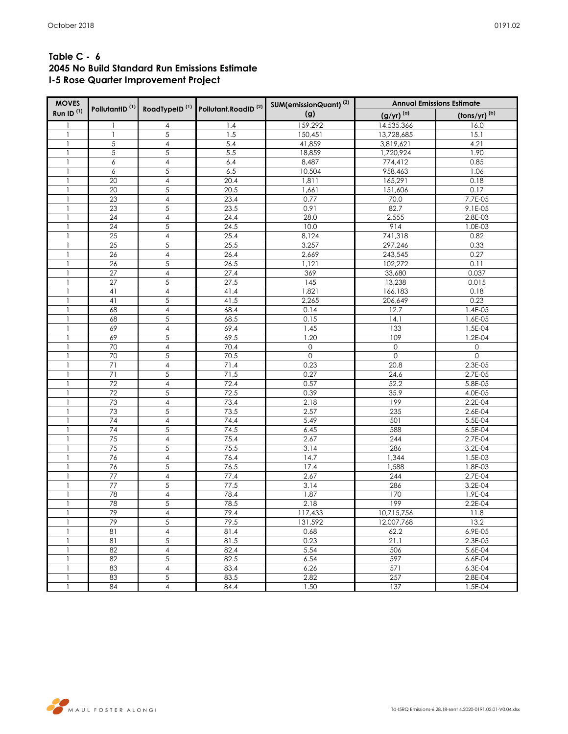| <b>MOVES</b>          |                            |                         |                                                           | SUM(emissionQuant) <sup>(3)</sup> | <b>Annual Emissions Estimate</b> |                                     |  |  |  |
|-----------------------|----------------------------|-------------------------|-----------------------------------------------------------|-----------------------------------|----------------------------------|-------------------------------------|--|--|--|
| Run ID <sup>(1)</sup> | PollutantID <sup>(1)</sup> |                         | RoadTypeID <sup>(1)</sup> Pollutant.RoadID <sup>(2)</sup> | (g)                               | $(g/yr)^{(a)}$                   | $\frac{(\text{tons}/\text{yr})}{h}$ |  |  |  |
| -1                    | -1                         | 4                       | 1.4                                                       | 159,292                           | 14,535,366                       | 16.0                                |  |  |  |
| -1                    | $\mathbf{1}$               | 5                       | 1.5                                                       | 150,451                           | 13,728,685                       | 15.1                                |  |  |  |
|                       | $\sqrt{5}$                 | $\overline{4}$          | 5.4                                                       | 41,859                            | 3,819,621                        | 4.21                                |  |  |  |
| 1                     | 5                          | $\sqrt{5}$              | 5.5                                                       | 18,859                            | 1,720,924                        | 1.90                                |  |  |  |
| 1                     | 6                          | $\overline{4}$          | 6.4                                                       | 8,487                             | 774,412                          | 0.85                                |  |  |  |
| $\mathbf{1}$          | 6                          | $\sqrt{5}$              | 6.5                                                       | 10,504                            | 958,463                          | 1.06                                |  |  |  |
| 1                     | 20                         | $\overline{4}$          | 20.4                                                      | 1,811                             | 165,291                          | 0.18                                |  |  |  |
|                       | 20                         | 5                       | 20.5                                                      | 1,661                             | 151,606                          | 0.17                                |  |  |  |
|                       | 23                         | $\overline{\mathbf{4}}$ | 23.4                                                      | 0.77                              | 70.0                             | 7.7E-05                             |  |  |  |
| $\mathbf{1}$          | 23                         | $\sqrt{5}$              | 23.5                                                      | 0.91                              | 82.7                             | $9.1E-05$                           |  |  |  |
| 1                     | 24                         | $\sqrt{4}$              | 24.4                                                      | 28.0                              | 2,555                            | 2.8E-03                             |  |  |  |
| $\mathbf{1}$          | 24                         | 5                       | 24.5                                                      | 10.0                              | 914                              | 1.0E-03                             |  |  |  |
| 1                     | $\overline{25}$            | $\overline{4}$          | 25.4                                                      | 8,124                             | 741,318                          | 0.82                                |  |  |  |
| 1                     | 25                         | 5                       | 25.5                                                      | 3,257                             | 297,246                          | 0.33                                |  |  |  |
|                       | 26                         | $\sqrt{4}$              | 26.4                                                      | 2,669                             | 243,545                          | 0.27                                |  |  |  |
| $\mathbf{1}$          | 26                         | $\sqrt{5}$              | 26.5                                                      | 1,121                             | 102,272                          | 0.11                                |  |  |  |
| 1                     | 27                         | $\sqrt{4}$              | 27.4                                                      | 369                               | 33,680                           | 0.037                               |  |  |  |
|                       | $\overline{27}$            | 5                       | 27.5                                                      | $\overline{145}$                  | 13,238                           | 0.015                               |  |  |  |
| 1                     | 41                         | $\overline{\mathbf{4}}$ | 41.4                                                      | 1,821                             | 166,183                          | 0.18                                |  |  |  |
|                       | 41                         | 5                       | 41.5                                                      | 2,265                             | 206,649                          | 0.23                                |  |  |  |
| $\mathbf{1}$          | 68                         | $\sqrt{4}$              | 68.4                                                      | 0.14                              | 12.7                             | 1.4E-05                             |  |  |  |
| 1                     | 68                         | 5                       | 68.5                                                      | 0.15                              | 14.1                             | 1.6E-05                             |  |  |  |
| 1                     | 69                         | $\overline{\mathbf{4}}$ | 69.4                                                      | 1.45                              | 133                              | 1.5E-04                             |  |  |  |
|                       | 69                         | 5                       | 69.5                                                      | 1.20                              | 109                              | 1.2E-04                             |  |  |  |
|                       | 70                         | $\overline{4}$          | 70.4                                                      | $\mathsf O$                       | 0                                | 0                                   |  |  |  |
| 1                     | 70                         | $\sqrt{5}$              | 70.5                                                      | $\mathbf{0}$                      | $\mathsf{O}$                     | $\mathsf{O}\xspace$                 |  |  |  |
| $\mathbf{1}$          | 71                         | $\overline{4}$          | 71.4                                                      | 0.23                              | 20.8                             | 2.3E-05                             |  |  |  |
| $\mathbf{1}$          | 71                         | 5                       | 71.5                                                      | 0.27                              | 24.6                             | 2.7E-05                             |  |  |  |
|                       | 72                         | $\overline{4}$          | 72.4                                                      | 0.57                              | 52.2                             | 5.8E-05                             |  |  |  |
|                       | $\overline{72}$            | 5                       | 72.5                                                      | 0.39                              | 35.9                             | 4.0E-05                             |  |  |  |
|                       | 73                         | $\overline{4}$          | 73.4                                                      | 2.18                              | 199                              | 2.2E-04                             |  |  |  |
| 1                     | 73                         | $\sqrt{5}$              | 73.5                                                      | 2.57                              | 235                              | 2.6E-04                             |  |  |  |
| $\mathbf{1}$          | 74                         | $\overline{4}$          | 74.4                                                      | 5.49                              | 501                              | 5.5E-04                             |  |  |  |
| 1                     | 74                         | 5                       | 74.5                                                      | 6.45                              | 588                              | 6.5E-04                             |  |  |  |
|                       | 75                         | $\overline{\mathbf{4}}$ | 75.4                                                      | 2.67                              | 244                              | 2.7E-04                             |  |  |  |
|                       | 75                         | 5                       | 75.5                                                      | 3.14                              | 286                              | 3.2E-04                             |  |  |  |
| $\mathbf{1}$          | 76                         | $\overline{4}$          | 76.4                                                      | 14.7                              | 1,344                            | 1.5E-03                             |  |  |  |
| 1                     | 76                         | $\sqrt{5}$              | 76.5                                                      | 17.4                              | 1,588                            | 1.8E-03                             |  |  |  |
| $\mathbf{1}$          | 77                         | $\overline{\mathbf{4}}$ | 77.4                                                      | 2.67                              | 244                              | 2.7E-04                             |  |  |  |
|                       | $77 \,$                    | 5                       | 77.5                                                      | 3.14                              | 286                              | 3.2E-04                             |  |  |  |
|                       | 78                         | $\overline{4}$          | 78.4                                                      | 1.87                              | 170                              | 1.9E-04                             |  |  |  |
| $\mathbf{1}$          | 78                         | 5                       | 78.5                                                      | 2.18                              | 199                              | 2.2E-04                             |  |  |  |
| $\mathbf{1}$          | 79                         | $\overline{4}$          | 79.4                                                      | 117,433                           | 10,715,756                       | 11.8                                |  |  |  |
| 1                     | 79                         | 5                       | 79.5                                                      | 131,592                           | 12,007,768                       | 13.2                                |  |  |  |
|                       | 81                         | 4                       | 81.4                                                      | 0.68                              | 62.2                             | 6.9E-05                             |  |  |  |
|                       | 81                         | 5                       | 81.5                                                      | 0.23                              | 21.1                             | 2.3E-05                             |  |  |  |
| 1                     | 82                         | $\overline{4}$          | 82.4                                                      | 5.54                              | 506                              | 5.6E-04                             |  |  |  |
| $\mathbf{1}$          | 82                         | 5                       | 82.5                                                      | 6.54                              | 597                              | 6.6E-04                             |  |  |  |
| $\mathbf{1}$          | 83                         | 4                       | 83.4                                                      | 6.26                              | 571                              | 6.3E-04                             |  |  |  |
|                       | 83                         | $\,$ 5 $\,$             | 83.5                                                      | 2.82                              | 257                              | 2.8E-04                             |  |  |  |
| $\overline{1}$        | 84                         | $\overline{4}$          | 84.4                                                      | 1.50                              | 137                              | 1.5E-04                             |  |  |  |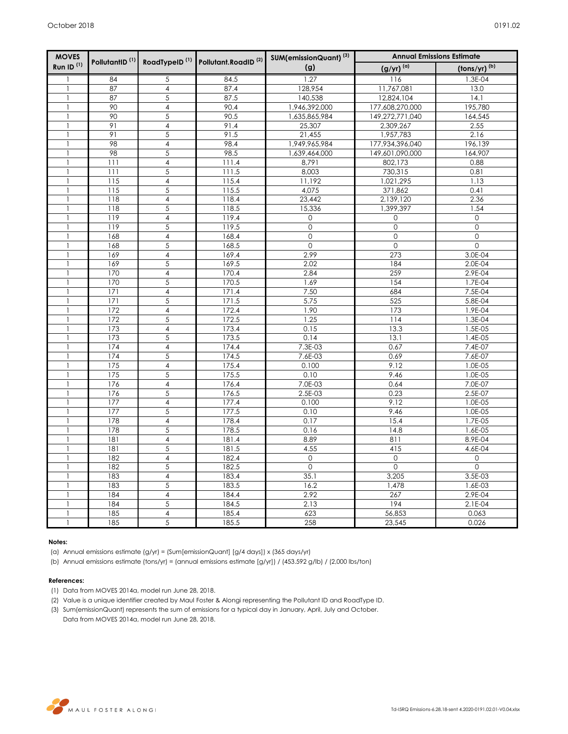| <b>MOVES</b>          | PollutantID <sup>(1)</sup> |                         | RoadTypeID <sup>(1)</sup> Pollutant.RoadID <sup>(2)</sup> | SUM(emissionQuant) <sup>(3)</sup> | <b>Annual Emissions Estimate</b> |                          |
|-----------------------|----------------------------|-------------------------|-----------------------------------------------------------|-----------------------------------|----------------------------------|--------------------------|
| Run ID <sup>(1)</sup> |                            |                         |                                                           | (g)                               | $(g/yr)^{(a)}$                   | (tons/yr) <sup>(b)</sup> |
| 1                     | 84                         | 5                       | 84.5                                                      | 1.27                              | 116                              | 1.3E-04                  |
| $\mathbf{1}$          | 87                         | $\overline{\mathbf{4}}$ | 87.4                                                      | 128,954                           | 11,767,081                       | 13.0                     |
|                       | 87                         | $\overline{5}$          | 87.5                                                      | 140,538                           | 12,824,104                       | 14.1                     |
|                       | 90                         | $\overline{\mathbf{4}}$ | 90.4                                                      | 1,946,392,000                     | 177,608,270,000                  | 195,780                  |
| $\mathbf{1}$          | 90                         | 5                       | 90.5                                                      | 1,635,865,984                     | 149,272,771,040                  | 164,545                  |
|                       | 91                         | $\overline{\mathbf{4}}$ | 91.4                                                      | 25,307                            | 2,309,267                        | 2.55                     |
| $\mathbf{1}$          | 91                         | 5                       | 91.5                                                      | 21,455                            | 1,957,783                        | 2.16                     |
|                       | 98                         | $\overline{\mathbf{4}}$ | 98.4                                                      | 1,949,965,984                     | 177,934,396,040                  | 196,139                  |
| 1                     | 98                         | 5                       | 98.5                                                      | 1,639,464,000                     | 149,601,090,000                  | 164,907                  |
|                       | 111                        | $\overline{\mathbf{4}}$ | 111.4                                                     | 8,791                             | 802,173                          | 0.88                     |
|                       | 111                        | 5                       | 111.5                                                     | 8,003                             | 730,315                          | 0.81                     |
|                       | 115                        | 4                       | 115.4                                                     | 11,192                            | 1,021,295                        | 1.13                     |
|                       | 115                        | 5                       | 115.5                                                     | 4,075                             | 371,862                          | 0.41                     |
| $\mathbf{1}$          | 118                        | $\overline{4}$          | 118.4                                                     | 23,442                            | 2,139,120                        | 2.36                     |
|                       | 118                        | 5                       | 118.5                                                     | 15,336                            | 1,399,397                        | 1.54                     |
|                       | 119                        | 4                       | 119.4                                                     | $\overline{0}$                    | 0                                | $\mathsf{O}\xspace$      |
|                       | 119                        | 5                       | 119.5                                                     | $\overline{0}$                    | $\mathsf{O}\xspace$              | $\mathbf 0$              |
|                       | 168                        | $\overline{\mathbf{4}}$ | 168.4                                                     | $\mathsf{O}\xspace$               | $\mathsf{O}\xspace$              | $\mathsf{O}\xspace$      |
| $\mathbf{1}$          | 168                        | 5                       | 168.5                                                     | $\mathbf{0}$                      | $\mathbf 0$                      | $\mathbf 0$              |
|                       | 169                        | 4                       | 169.4                                                     | 2.99                              | 273                              | 3.0E-04                  |
|                       | 169                        | 5                       | 169.5                                                     | 2.02                              | 184                              | 2.0E-04                  |
|                       | 170                        | 4                       | 170.4                                                     | 2.84                              | 259                              | 2.9E-04                  |
|                       | 170                        | 5                       | 170.5                                                     | 1.69                              | 154                              | 1.7E-04                  |
| 1                     | 171                        | 4                       | 171.4                                                     | 7.50                              | 684                              | 7.5E-04                  |
|                       | 171                        | $\overline{5}$          | 171.5                                                     | 5.75                              | 525                              | 5.8E-04                  |
|                       | 172                        | $\overline{\mathbf{4}}$ | 172.4                                                     | 1.90                              | 173                              | 1.9E-04                  |
|                       | 172                        | 5                       | 172.5                                                     | 1.25                              | 114                              | 1.3E-04                  |
| 1                     | 173                        | $\overline{\mathbf{4}}$ | 173.4                                                     | 0.15                              | 13.3                             | 1.5E-05                  |
|                       | 173                        | $\overline{5}$          | 173.5                                                     | 0.14                              | 13.1                             | $1.4E-05$                |
|                       | 174                        | 4                       | 174.4                                                     | $7.3E-03$                         | 0.67                             | 7.4E-07                  |
| $\mathbf{1}$          | 174                        | 5                       | 174.5                                                     | 7.6E-03                           | 0.69                             | 7.6E-07                  |
| 1                     | 175                        | 4                       | 175.4                                                     | 0.100                             | 9.12                             | 1.0E-05                  |
|                       | 175                        | $\overline{5}$          | 175.5                                                     | 0.10                              | 9.46                             | 1.0E-05                  |
|                       | 176                        | 4                       | 176.4                                                     | 7.0E-03                           | 0.64                             | 7.0E-07                  |
| 1                     | 176                        | 5                       | 176.5                                                     | 2.5E-03                           | 0.23                             | 2.5E-07                  |
|                       | 177                        | $\overline{\mathbf{4}}$ | 177.4                                                     | 0.100                             | 9.12                             | 1.0E-05                  |
|                       | 177                        | $\overline{5}$          | 177.5                                                     | 0.10                              | 9.46                             | 1.0E-05                  |
|                       | 178                        | 4                       | 178.4                                                     | 0.17                              | 15.4                             | 1.7E-05                  |
| $\mathbf{1}$          | 178                        | $\overline{5}$          | 178.5                                                     | 0.16                              | 14.8                             | 1.6E-05                  |
| $\mathbf{1}$          | 181                        | $\overline{4}$          | 181.4                                                     | 8.89                              | 811                              | 8.9E-04                  |
|                       | 181                        | $\overline{5}$          | 181.5                                                     | 4.55                              | 415                              | 4.6E-04                  |
| 1                     | 182                        | $\overline{\mathbf{4}}$ | 182.4                                                     | $\mathbf{O}$                      | $\mathbf 0$                      | $\mathsf{O}$             |
|                       | 182                        | 5                       | 182.5                                                     | $\mathsf{O}\xspace$               | $\mathsf{O}\xspace$              | $\mathsf{O}\xspace$      |
|                       | 183                        | $\overline{\mathbf{4}}$ | 183.4                                                     | 35.1                              | 3,205                            | 3.5E-03                  |
| -1                    | 183                        | $\overline{5}$          | 183.5                                                     | 16.2                              | 1,478                            | 1.6E-03                  |
|                       | 184                        | $\overline{\mathbf{4}}$ | 184.4<br>184.5                                            | 2.92<br>2.13                      | 267<br>194                       | 2.9E-04<br>$2.1E-04$     |
|                       | 184<br>185                 | 5<br>4                  | 185.4                                                     | 623                               | 56,853                           | 0.063                    |
|                       | 185                        | $\overline{5}$          |                                                           | 258                               |                                  |                          |
| $\mathbf{1}$          |                            |                         | 185.5                                                     |                                   | 23,545                           | 0.026                    |

## **Notes:**

(a) Annual emissions estimate (g/yr) = (Sum[emissionQuant] [g/4 days]) x (365 days/yr)

(b) Annual emissions estimate (tons/yr) = (annual emissions estimate [g/yr]) / (453.592 g/lb) / (2,000 lbs/ton)

### **References:**

- (1) Data from MOVES 2014a, model run June 28, 2018.
- (2) Value is a unique identifier created by Maul Foster & Alongi representing the Pollutant ID and RoadType ID.
- (3) Sum(emissionQuant) represents the sum of emissions for a typical day in January, April, July and October. Data from MOVES 2014a, model run June 28, 2018.

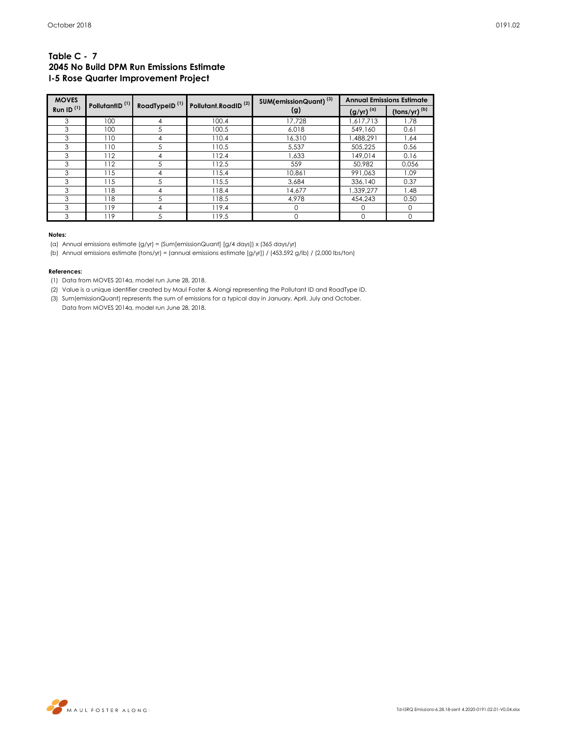## **Table C - 7 2045 No Build DPM Run Emissions Estimate I-5 Rose Quarter Improvement Project**

| <b>MOVES</b>          |                            |                           | Pollutant.RoadID <sup>(2)</sup> | SUM(emissionQuant) <sup>(3)</sup> |                       | <b>Annual Emissions Estimate</b>                   |
|-----------------------|----------------------------|---------------------------|---------------------------------|-----------------------------------|-----------------------|----------------------------------------------------|
| Run ID <sup>(1)</sup> | PollutantID <sup>(1)</sup> | RoadTypeID <sup>(1)</sup> |                                 | (g)                               | (g/yr) <sup>(α)</sup> | $\left(\frac{\text{tons}}{\text{yr}}\right)^{(b)}$ |
| 3                     | 100                        | 4                         | 100.4                           | 17,728                            | 1,617,713             | 1.78                                               |
| 3                     | 100                        | 5                         | 100.5                           | 6.018                             | 549,160               | 0.61                                               |
| 3                     | 110                        | 4                         | 110.4                           | 16,310                            | 1,488,291             | 1.64                                               |
| 3                     | 110                        | 5                         | 110.5                           | 5,537                             | 505.225               | 0.56                                               |
| 3                     | 112                        | 4                         | 112.4                           | 1.633                             | 149.014               | 0.16                                               |
| 3                     | 112                        | 5                         | 112.5                           | 559                               | 50.982                | 0.056                                              |
| 3                     | 115                        | 4                         | 115.4                           | 10,861                            | 991,063               | 1.09                                               |
| 3                     | 115                        | 5                         | 115.5                           | 3.684                             | 336,140               | 0.37                                               |
| 3                     | 118                        | 4                         | 118.4                           | 14.677                            | 1,339,277             | 1.48                                               |
| 3                     | 118                        | 5                         | 118.5                           | 4,978                             | 454,243               | 0.50                                               |
| 3                     | 119                        | 4                         | 119.4                           | 0                                 |                       | $\Omega$                                           |
| 3                     | 119                        | 5                         | 119.5                           | 0                                 |                       | O                                                  |

### **Notes:**

(a) Annual emissions estimate (g/yr) = (Sum[emissionQuant] [g/4 days]) x (365 days/yr)

(b) Annual emissions estimate (tons/yr) = (annual emissions estimate [g/yr]) / (453.592 g/lb) / (2,000 lbs/ton)

### **References:**

(1) Data from MOVES 2014a, model run June 28, 2018.

(2) Value is a unique identifier created by Maul Foster & Alongi representing the Pollutant ID and RoadType ID.

(3) Sum(emissionQuant) represents the sum of emissions for a typical day in January, April, July and October. Data from MOVES 2014a, model run June 28, 2018.

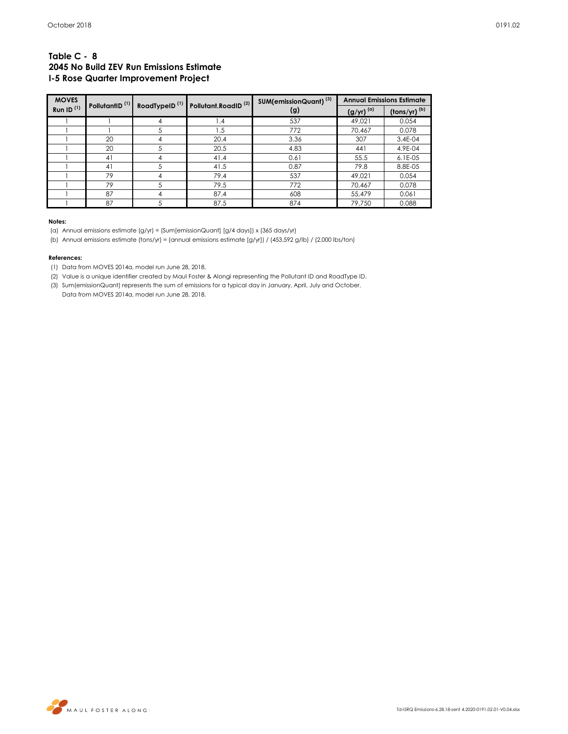## **Table C - 8 2045 No Build ZEV Run Emissions Estimate I-5 Rose Quarter Improvement Project**

| <b>MOVES</b>    | PollutantID <sup>(1)</sup><br>RoadTypeID <sup>(1)</sup> |    | Pollutant.RoadID <sup>(2)</sup> | SUM(emissionQuant) <sup>(3)</sup> |                     | <b>Annual Emissions Estimate</b>      |
|-----------------|---------------------------------------------------------|----|---------------------------------|-----------------------------------|---------------------|---------------------------------------|
| Run ID $^{(1)}$ |                                                         |    |                                 | (g)                               | $(g/yr)^{(\alpha)}$ | $\frac{\text{(tons/yr)}}{\text{(b)}}$ |
|                 |                                                         | 4  | 1.4                             | 537                               | 49.021              | 0.054                                 |
|                 |                                                         | 5  | 1.5                             | 772                               | 70.467              | 0.078                                 |
|                 | 20                                                      | 4  | 20.4                            | 3.36                              | 307                 | 3.4E-04                               |
|                 | 20                                                      | 5. | 20.5                            | 4.83                              | 441                 | 4.9E-04                               |
|                 | 41                                                      | 4  | 41.4                            | 0.61                              | 55.5                | $6.1E-0.5$                            |
|                 | 41                                                      | 5  | 41.5                            | 0.87                              | 79.8                | 8.8E-05                               |
|                 | 79                                                      | 4  | 79.4                            | 537                               | 49.021              | 0.054                                 |
|                 | 79                                                      |    | 79.5                            | 772                               | 70.467              | 0.078                                 |
|                 | 87                                                      | 4  | 87.4                            | 608                               | 55.479              | 0.061                                 |
|                 | 87                                                      | 5  | 87.5                            | 874                               | 79,750              | 0.088                                 |

#### **Notes:**

(a) Annual emissions estimate (g/yr) = (Sum[emissionQuant] [g/4 days]) x (365 days/yr)

(b) Annual emissions estimate (tons/yr) = (annual emissions estimate [g/yr]) / (453.592 g/lb) / (2,000 lbs/ton)

### **References:**

(1) Data from MOVES 2014a, model run June 28, 2018.

- (2) Value is a unique identifier created by Maul Foster & Alongi representing the Pollutant ID and RoadType ID.
- (3) Sum(emissionQuant) represents the sum of emissions for a typical day in January, April, July and October.

Data from MOVES 2014a, model run June 28, 2018.

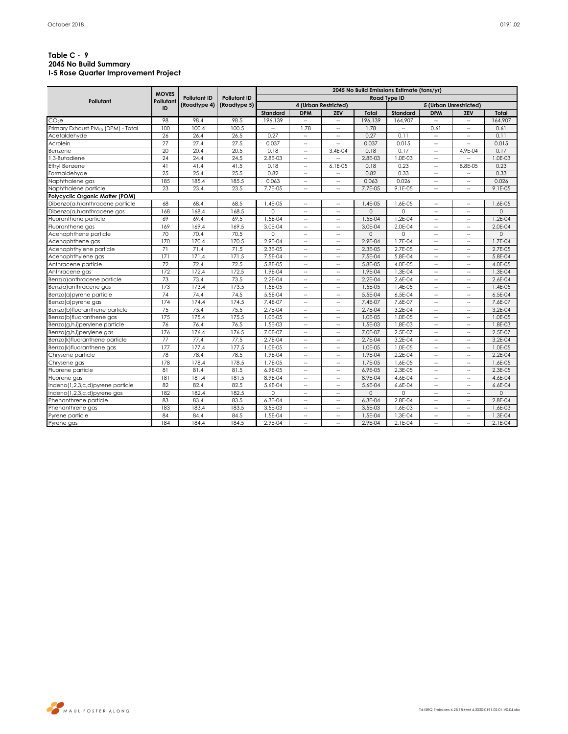## **Table C - 9 2045 No Build Summary I-5 Rose Quarter Improvement Project**

|                                                | <b>MOVES</b> | <b>Pollutant ID</b> | <b>Pollutant ID</b><br>(Roadtype 5) | 2045 No Build Emissions Estimate (tons/yr) |                             |                             |          |                     |                             |                             |             |  |
|------------------------------------------------|--------------|---------------------|-------------------------------------|--------------------------------------------|-----------------------------|-----------------------------|----------|---------------------|-----------------------------|-----------------------------|-------------|--|
| Pollutant                                      | Pollutant    |                     |                                     |                                            |                             |                             |          | <b>Road Type ID</b> |                             |                             |             |  |
|                                                | ID           | (Roadtype 4)        |                                     |                                            |                             | 4 (Urban Restricted)        |          |                     |                             | 5 (Urban Unrestricted)      |             |  |
|                                                |              |                     |                                     | Standard                                   | <b>DPM</b>                  | ZEV                         | Total    | Standard            | <b>DPM</b>                  | ZEV                         | Total       |  |
| CO <sub>2</sub> e                              | 98           | 98.4                | 98.5                                | 196.139                                    |                             | $\overline{\phantom{a}}$    | 196.139  | 164,907             |                             | $\hspace{0.05cm} -$         | 164.907     |  |
| Primary Exhaust PM <sub>10</sub> (DPM) - Total | 100          | 100.4               | 100.5                               | $\mathcal{L}_{\mathcal{A}}$                | 1.78                        | $\hspace{0.05cm} -$         | 1.78     | $\sim$              | 0.61                        | $\overline{\phantom{a}}$    | 0.61        |  |
| Acetaldehyde                                   | 26           | 26.4                | 26.5                                | 0.27                                       | $\overline{a}$              | $\sim$                      | 0.27     | 0.11                | $\overline{\phantom{a}}$    | $\overline{\phantom{a}}$    | 0.11        |  |
| Acrolein                                       | 27           | 27.4                | 27.5                                | 0.037                                      | <u></u>                     |                             | 0.037    | 0.015               |                             | u.                          | 0.015       |  |
| Benzene                                        | 20           | 20.4                | 20.5                                | 0.18                                       | --                          | 3.4E-04                     | 0.18     | 0.17                | $\overline{\phantom{a}}$    | 4.9E-04                     | 0.17        |  |
| .3-Butadiene                                   | 24           | 24.4                | 24.5                                | 2.8E-03                                    | н.                          | $\sim$                      | 2.8E-03  | 1.0E-03             | $\overline{\phantom{a}}$    | $\overline{\phantom{a}}$    | 1.0E-03     |  |
| Ethyl Benzene                                  | 41           | 41.4                | 41.5                                | 0.18                                       | $\mathcal{L}_{\mathcal{A}}$ | 6.1E-05                     | 0.18     | 0.23                | $\overline{\phantom{a}}$    | 8.8E-05                     | 0.23        |  |
| ormaldehyde                                    | 25           | 25.4                | 25.5                                | 0.82                                       | $\overline{\phantom{a}}$    | $\overline{\phantom{a}}$    | 0.82     | 0.33                | $\hspace{0.05cm} -$         | $\overline{\phantom{a}}$    | 0.33        |  |
| <b>Naphthalene</b> gas                         | 185          | 185.4               | 185.5                               | 0.063                                      | $\overline{\phantom{a}}$    | $\overline{\phantom{a}}$    | 0.063    | 0.026               | $\overline{\phantom{a}}$    | $\overline{\phantom{a}}$    | 0.026       |  |
| <b>Naphthalene</b> particle                    | 23           | 23.4                | 23.5                                | 7.7E-05                                    | u.                          | $\sim$                      | 7.7E-05  | 9.1E-05             | $\mathcal{L}_{\mathcal{A}}$ | L.                          | 9.1E-05     |  |
| Polycyclic Organic Matter (POM)                |              |                     |                                     |                                            |                             |                             |          |                     |                             |                             |             |  |
| Dibenzo(a,h)anthracene particle                | 68           | 68.4                | 68.5                                | 1.4E-05                                    | $\overline{a}$              | $\sim$                      | 1.4E-05  | 1.6E-05             | $\sim$                      | $\sim$                      | 1.6E-05     |  |
| Dibenzo(a,h)anthracene gas                     | 168          | 168.4               | 168.5                               | $\Omega$                                   | н.                          | $\hspace{0.05cm} -$         | 0        | $\Omega$            | $\overline{\phantom{a}}$    | $\overline{\phantom{a}}$    | $\circ$     |  |
| Iuoranthene particle                           | 69           | 69.4                | 69.5                                | 1.5E-04                                    | $\overline{a}$              | $\sim$                      | 1.5E-04  | 1.2E-04             | $\sim$                      | $\overline{\phantom{a}}$    | $1.2E - 04$ |  |
| Fluoranthene gas                               | 169          | 169.4               | 169.5                               | 3.0E-04                                    | <u></u>                     |                             | 3.0E-04  | 2.0E-04             | --                          | $\hspace{0.05cm} -$         | 2.0E-04     |  |
| Acenaphthene particle                          | 70           | 70.4                | 70.5                                | $\Omega$                                   | $\overline{\phantom{a}}$    | $\sim$                      | 0        | 0                   | $\hspace{0.05cm} \ldots$    | $\overline{\phantom{a}}$    | $\mathbf 0$ |  |
| Acenaphthene gas                               | 170          | 170.4               | 170.5                               | 2.9E-04                                    | $\overline{a}$              | $\sim$                      | 2.9E-04  | 1.7E-04             | $\mathcal{L}_{\mathcal{A}}$ | $\overline{\phantom{a}}$    | 1.7E-04     |  |
| Acenaphthylene particle                        | 71           | 71.4                | 71.5                                | 2.3E-05                                    | $\overline{a}$              | $\sim$                      | 2.3E-05  | 2.7E-05             | $\sim$                      | $\sim$                      | 2.7E-05     |  |
| Acenaphthylene gas                             | 171          | 171.4               | 171.5                               | 7.5E-04                                    | н.                          | $\overline{\phantom{a}}$    | 7.5E-04  | 5.8E-04             | $\overline{\phantom{a}}$    | $\overline{\phantom{a}}$    | 5.8E-04     |  |
| Anthracene particle                            | 72           | 72.4                | 72.5                                | 5.8E-05                                    | $\overline{a}$              | $\overline{\phantom{a}}$    | 5.8E-05  | 4.0E-05             | $\overline{\phantom{a}}$    | $\overline{\phantom{a}}$    | 4.0E-05     |  |
| Anthracene gas                                 | 172          | 172.4               | 172.5                               | 1.9E-04                                    | $\overline{a}$              | $\mathcal{L}_{\mathcal{A}}$ | 1.9E-04  | 1.3E-04             | $\sim$                      | $\sim$                      | 1.3E-04     |  |
| Benz(a)anthracene particle                     | 73           | 73.4                | 73.5                                | 2.2E-04                                    | --                          | $\overline{a}$              | 2.2E-04  | 2.6E-04             | $\overline{\phantom{a}}$    | $\overline{\phantom{a}}$    | 2.6E-04     |  |
| Benz(a)anthracene gas                          | 173          | 173.4               | 173.5                               | 1.5E-05                                    | $\overline{a}$              | $\overline{\phantom{a}}$    | 1.5E-05  | 1.4E-05             | ÷.                          | $\overline{\phantom{a}}$    | 1.4E-05     |  |
| Benzo(a)pyrene particle                        | 74           | 74.4                | 74.5                                | 5.5E-04                                    | u.                          | $\overline{\phantom{a}}$    | 5.5E-04  | 6.5E-04             | $\sim$                      | $\mathcal{L}_{\mathcal{A}}$ | 6.5E-04     |  |
| Benzo(a)pyrene gas                             | 174          | 174.4               | 174.5                               | 7.4E-07                                    | $\overline{a}$              | $\hspace{0.05cm} -$         | 7.4E-07  | 7.6E-07             | $\overline{\phantom{a}}$    | $\mathcal{L}_{\mathcal{A}}$ | 7.6E-07     |  |
| Benzo(b)fluoranthene particle                  | 75           | 75.4                | 75.5                                | 2.7E-04                                    | u.                          | $\sim$                      | 2.7E-04  | 3.2E-04             | $\sim$                      | $\overline{\phantom{a}}$    | 3.2E-04     |  |
| Benzo(b)fluoranthene gas                       | 175          | 175.4               | 175.5                               | 1.0E-05                                    | $\overline{\phantom{a}}$    | $\hspace{0.05cm} -$         | 1.0E-05  | 1.0E-05             | $\overline{\phantom{a}}$    | $\overline{\phantom{a}}$    | 1.0E-05     |  |
| Benzo(g,h,i)perylene particle                  | 76           | 76.4                | 76.5                                | 1.5E-03                                    | u.                          | $\mathcal{L}_{\mathcal{A}}$ | 1.5E-03  | 1.8E-03             | u.                          | $\overline{\phantom{a}}$    | 1.8E-03     |  |
| Benzo(g,h,i)perylene gas                       | 176          | 176.4               | 176.5                               | 7.0E-07                                    | <u></u>                     | $\sim$                      | 7.0E-07  | 2.5E-07             | $\sim$                      | $\sim$                      | 2.5E-07     |  |
| Benzo(k)fluoranthene particle                  | 77           | 77.4                | 77.5                                | 2.7E-04                                    | $\overline{a}$              | $\overline{a}$              | 2.7E-04  | 3.2E-04             | u.                          | $\overline{\phantom{a}}$    | 3.2E-04     |  |
| Benzo(k)fluoranthene gas                       | 177          | 177.4               | 177.5                               | 1.0E-05                                    | $\overline{\phantom{a}}$    | $\sim$                      | 1.0E-05  | 1.0E-05             | $\sim$                      | $\sim$                      | 1.0E-05     |  |
| Chrysene particle                              | 78           | 78.4                | 78.5                                | 1.9E-04                                    | $\overline{a}$              | $\mathcal{L}_{\mathcal{A}}$ | 1.9E-04  | 2.2E-04             | $\sim$                      | $\mathcal{L}_{\mathcal{A}}$ | $2.2E - 04$ |  |
| Chrysene gas                                   | 178          | 178.4               | 178.5                               | 1.7E-05                                    | н.                          | $\hspace{0.05cm} -$         | 1.7E-05  | 1.6E-05             | $\overline{\phantom{a}}$    | $\sim$                      | 1.6E-05     |  |
| luorene particle                               | 81           | 81.4                | 81.5                                | 6.9E-05                                    | $\overline{a}$              | $\overline{\phantom{a}}$    | 6.9E-05  | 2.3E-05             | $\overline{a}$              | $\sim$                      | 2.3E-05     |  |
| luorene gas                                    | 181          | 181.4               | 181.5                               | 8.9E-04                                    | u.                          | $\mathcal{L}_{\mathcal{A}}$ | 8.9E-04  | 4.6E-04             | $\mathcal{L}_{\mathcal{A}}$ | $\overline{\phantom{a}}$    | 4.6E-04     |  |
| ndeno(1,2,3,c,d)pyrene particle                | 82           | 82.4                | 82.5                                | 5.6E-04                                    | $\overline{\phantom{a}}$    | $\sim$                      | 5.6E-04  | 6.6E-04             | $\overline{\phantom{a}}$    | $\sim$                      | 6.6E-04     |  |
| ndeno(1,2,3,c,d)pyrene gas                     | 182          | 182.4               | 182.5                               | $\Omega$                                   | u.                          | $\sim$                      | $\Omega$ | $\Omega$            | u.                          | $\overline{\phantom{a}}$    | $\Omega$    |  |
| Phenanthrene particle                          | 83           | 83.4                | 83.5                                | 6.3E-04                                    | $\overline{\phantom{a}}$    | $\overline{\phantom{a}}$    | 6.3E-04  | 2.8E-04             | $\overline{\phantom{a}}$    | $\hspace{0.05cm} \ldots$    | 2.8E-04     |  |
| Phenanthrene gas                               | 183          | 183.4               | 183.5                               | 3.5E-03                                    | <u></u>                     | $\overline{\phantom{a}}$    | 3.5E-03  | 1.6E-03             | Ц,                          | $\overline{\phantom{a}}$    | 1.6E-03     |  |
| Pyrene particle                                | 84           | 84.4                | 84.5                                | 1.5E-04                                    | --                          | $\sim$                      | 1.5E-04  | 1.3E-04             | $\overline{a}$              | $\sim$                      | 1.3E-04     |  |
| Pyrene gas                                     | 184          | 184.4               | 184.5                               | 2.9E-04                                    | н.                          | $\overline{\phantom{a}}$    | 2.9E-04  | 2.1E-04             | $\overline{\phantom{a}}$    | $\overline{\phantom{a}}$    | $2.1E-04$   |  |

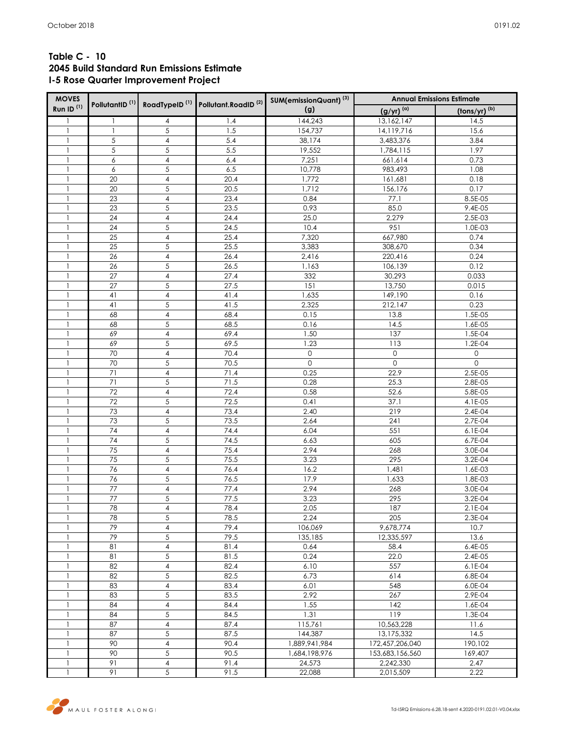# **Table C - 10 2045 Build Standard Run Emissions Estimate I-5 Rose Quarter Improvement Project**

| <b>MOVES</b>          | PollutantID <sup>(1)</sup> |                         | RoadTypeID <sup>(1)</sup> Pollutant.RoadID <sup>(2)</sup> | SUM(emissionQuant) <sup>(3)</sup> | <b>Annual Emissions Estimate</b> |                     |  |  |  |
|-----------------------|----------------------------|-------------------------|-----------------------------------------------------------|-----------------------------------|----------------------------------|---------------------|--|--|--|
| Run ID <sup>(1)</sup> |                            |                         |                                                           | (g)                               | $(g/yr)^{(a)}$                   | (tons/yr) (b)       |  |  |  |
| 1                     | 1                          | 4                       | 1.4                                                       | 144,243                           | 13,162,147                       | 14.5                |  |  |  |
| $\mathbf{1}$          | $\mathbf{1}$               | 5                       | 1.5                                                       | 154,737                           | 14,119,716                       | 15.6                |  |  |  |
| $\mathbf{1}$          | 5                          | $\overline{4}$          | 5.4                                                       | 38,174                            | 3,483,376                        | 3.84                |  |  |  |
| $\mathbf{1}$          | 5                          | 5                       | 5.5                                                       | 19,552                            | 1,784,115                        | 1.97                |  |  |  |
| $\mathbf{1}$          | 6                          | $\overline{4}$          | 6.4                                                       | 7,251                             | 661,614                          | 0.73                |  |  |  |
| $\mathbf{1}$          | 6                          | 5                       | 6.5                                                       | 10,778                            | 983,493                          | 1.08                |  |  |  |
| $\mathbf{1}$          | 20                         | 4                       | 20.4                                                      | 1,772                             | 161,681                          | 0.18                |  |  |  |
| 1                     | 20                         | $\sqrt{5}$              | 20.5                                                      | 1,712                             | 156,176                          | 0.17                |  |  |  |
| $\mathbf{1}$          | 23                         | $\overline{4}$          | 23.4                                                      | 0.84                              | 77.1                             | 8.5E-05             |  |  |  |
| $\mathbf{1}$          | 23                         | 5                       | 23.5                                                      | 0.93                              | 85.0                             | 9.4E-05             |  |  |  |
| $\mathbf{1}$          | 24                         | $\overline{4}$          | 24.4                                                      | 25.0                              | 2,279                            | 2.5E-03             |  |  |  |
| $\mathbf{1}$          | 24                         | 5                       | 24.5                                                      | 10.4                              | 951                              | 1.0E-03             |  |  |  |
| $\mathbf{1}$          | 25                         | $\overline{4}$          | 25.4                                                      | 7,320                             | 667,980                          | 0.74                |  |  |  |
| $\mathbf{1}$          | 25                         | 5                       | 25.5                                                      | 3,383                             | 308,670                          | 0.34                |  |  |  |
| $\mathbf{1}$          | 26                         | $\sqrt{4}$              | 26.4                                                      | 2,416                             | 220,416                          | 0.24                |  |  |  |
| $\mathbf{1}$          | 26                         | 5                       | 26.5                                                      | 1,163                             | 106,139                          | 0.12                |  |  |  |
| $\mathbf{1}$          | 27                         | $\overline{\mathbf{4}}$ | 27.4                                                      | 332                               | 30,293                           | 0.033               |  |  |  |
| $\mathbf{1}$          | 27                         | 5                       | 27.5                                                      | 151                               | 13,750                           | 0.015               |  |  |  |
| $\mathbf{1}$          | 41                         | $\sqrt{4}$              | 41.4                                                      | 1,635                             | 149,190                          | 0.16                |  |  |  |
| $\mathbf{1}$          | 41                         | 5                       | 41.5                                                      | 2,325                             | 212,147                          | 0.23                |  |  |  |
| $\mathbf{1}$          | 68                         | $\overline{4}$          | 68.4                                                      | 0.15                              | 13.8                             | 1.5E-05             |  |  |  |
| $\mathbf{1}$          | 68                         | 5                       | 68.5                                                      | 0.16                              | 14.5                             | 1.6E-05             |  |  |  |
| $\mathbf{1}$          | 69                         | $\overline{4}$          | 69.4                                                      | 1.50                              | 137                              | 1.5E-04             |  |  |  |
| $\mathbf{1}$          | 69                         | $\sqrt{5}$              | 69.5                                                      | 1.23                              | 113                              | 1.2E-04             |  |  |  |
| $\mathbf{1}$          | 70                         | $\overline{4}$          | 70.4                                                      | $\mathsf{O}$                      | $\mathbf 0$                      | 0                   |  |  |  |
| $\mathbf{1}$          | 70                         | 5                       | 70.5                                                      | $\mathbf{O}$                      | $\overline{0}$                   | $\mathsf{O}\xspace$ |  |  |  |
| $\mathbf{1}$          | 71                         | $\sqrt{4}$              | 71.4                                                      | 0.25                              | 22.9                             | 2.5E-05             |  |  |  |
| $\mathbf{1}$          | 71                         | 5                       | 71.5                                                      | 0.28                              | 25.3                             | 2.8E-05             |  |  |  |
| $\mathbf{1}$          | 72                         | $\sqrt{4}$              | 72.4                                                      | 0.58                              | 52.6                             | 5.8E-05             |  |  |  |
| $\mathbf{1}$          | 72                         | 5                       | 72.5                                                      | 0.41                              | 37.1                             | 4.1E-05             |  |  |  |
| $\mathbf{1}$          | 73                         | $\overline{\mathbf{4}}$ | 73.4                                                      | 2.40                              | 219                              | 2.4E-04             |  |  |  |
| $\mathbf{1}$          | 73                         | 5                       | 73.5                                                      | 2.64                              | 241                              | 2.7E-04             |  |  |  |
| $\mathbf{1}$          | 74                         | $\overline{\mathbf{4}}$ | 74.4                                                      | 6.04                              | 551                              | 6.1E-04             |  |  |  |
| $\mathbf{1}$          | 74                         | $\sqrt{5}$              | 74.5                                                      | 6.63                              | 605                              | 6.7E-04             |  |  |  |
| 1                     | 75                         | $\overline{\mathbf{4}}$ | 75.4                                                      | 2.94                              | 268                              | 3.0E-04             |  |  |  |
| $\mathbf{1}$          | 75                         | 5                       | 75.5                                                      | 3.23                              | 295                              | 3.2E-04             |  |  |  |
| $\mathbf{1}$          | 76                         | $\overline{4}$          | 76.4                                                      | 16.2                              | 1,481                            | 1.6E-03             |  |  |  |
| $\mathbf{1}$          | 76                         | $\sqrt{5}$              | 76.5                                                      | 17.9                              | 1,633                            | 1.8E-03             |  |  |  |
| $\mathbf{1}$          | 77                         | $\pmb{4}$               | 77.4                                                      | 2.94                              | 268                              | 3.0E-04             |  |  |  |
| $\mathbf{1}$          | 77                         | 5                       | 77.5                                                      | 3.23                              | 295                              | 3.2E-04             |  |  |  |
| $\,$ $\,$             | 78                         | 4                       | 78.4                                                      | 2.05                              | 187                              | $2.1E-04$           |  |  |  |
| 1                     | 78                         | 5                       | 78.5                                                      | 2.24                              | 205                              | 2.3E-04             |  |  |  |
| 1                     | 79                         | 4                       | 79.4                                                      | 106,069                           | 9,678,774                        | 10.7                |  |  |  |
| 1                     | 79                         | 5                       | 79.5                                                      | 135,185                           | 12,335,597                       | 13.6                |  |  |  |
| $\mathbf{1}$          | 81                         | 4                       | 81.4                                                      | 0.64                              | 58.4                             | $6.4E-05$           |  |  |  |
| $\mathbf{1}$          | 81                         | 5                       | 81.5                                                      | 0.24                              | 22.0                             | 2.4E-05             |  |  |  |
| $\mathbf{1}$          | 82                         | $\overline{4}$          | 82.4                                                      | 6.10                              | 557                              | 6.1E-04             |  |  |  |
| $\mathbf{1}$          | 82                         | 5                       | 82.5                                                      | 6.73                              | 614                              | 6.8E-04             |  |  |  |
| $\mathbf{1}$          | 83                         | 4                       | 83.4                                                      | 6.01                              | 548                              | 6.0E-04             |  |  |  |
| 1                     | 83                         | $\sqrt{5}$              | 83.5                                                      | 2.92                              | 267                              | 2.9E-04             |  |  |  |
| $\mathbf{1}$          | 84                         | $\overline{4}$          | 84.4                                                      | 1.55                              | 142                              | 1.6E-04             |  |  |  |
| $\mathbf{1}$          | 84                         | 5                       | 84.5                                                      | 1.31                              | 119                              | 1.3E-04             |  |  |  |
| $\mathbf{1}$          | 87                         | $\overline{4}$          | 87.4                                                      | 115,761                           | 10,563,228                       | 11.6                |  |  |  |
| 1                     | 87                         | $\sqrt{5}$              | 87.5                                                      | 144,387                           | 13,175,332                       | 14.5                |  |  |  |
| $\mathbf{1}$          | 90                         | $\overline{4}$          | 90.4                                                      | 1,889,941,984                     | 172,457,206,040                  | 190,102             |  |  |  |
| $\mathbf{1}$          | 90                         | 5                       | 90.5                                                      | 1,684,198,976                     | 153,683,156,560                  | 169,407             |  |  |  |
| $\mathbf{1}$          | 91                         | 4                       | 91.4                                                      | $\overline{2}$ 4,573              | 2,242,330                        | 2.47                |  |  |  |
| $\mathbf{1}$          | 91                         | 5                       | 91.5                                                      | 22,088                            | 2,015,509                        | 2.22                |  |  |  |

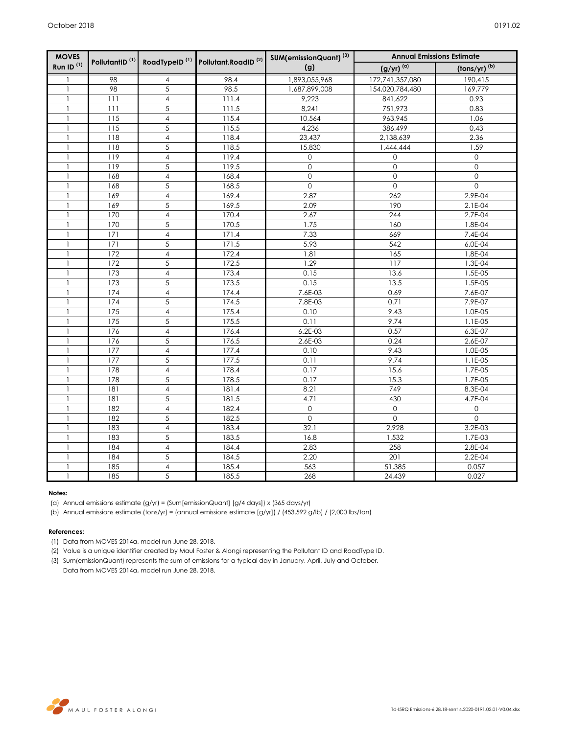| <b>MOVES</b>          |                                                                                      |                         |       | SUM(emissionQuant) <sup>(3)</sup> | <b>Annual Emissions Estimate</b>                   |             |  |  |
|-----------------------|--------------------------------------------------------------------------------------|-------------------------|-------|-----------------------------------|----------------------------------------------------|-------------|--|--|
| Run ID <sup>(1)</sup> | PollutantID <sup>(1)</sup> RoadTypeID <sup>(1)</sup> Pollutant.RoadID <sup>(2)</sup> |                         | (g)   | $(g/yr)^{(a)}$                    | $\left(\frac{\text{tons}}{\text{yr}}\right)^{(b)}$ |             |  |  |
| 1                     | 98                                                                                   | 4                       | 98.4  | 1,893,055,968                     | 172,741,357,080                                    | 190,415     |  |  |
| $\mathbf{1}$          | 98                                                                                   | $\overline{5}$          | 98.5  | 1,687,899,008                     | 154,020,784,480                                    | 169,779     |  |  |
| $\mathbf{1}$          | 111                                                                                  | $\overline{\mathbf{4}}$ | 111.4 | 9,223                             | 841,622                                            | 0.93        |  |  |
| 1                     | 111                                                                                  | 5                       | 111.5 | 8,241                             | 751,973                                            | 0.83        |  |  |
|                       | 115                                                                                  | $\overline{4}$          | 115.4 | 10,564                            | 963,945                                            | 1.06        |  |  |
| 1                     | 115                                                                                  | 5                       | 115.5 | 4,236                             | 386,499                                            | 0.43        |  |  |
| $\mathbf{1}$          | 118                                                                                  | $\overline{\mathbf{4}}$ | 118.4 | 23,437                            | 2,138,639                                          | 2.36        |  |  |
| $\mathbf{1}$          | 118                                                                                  | 5                       | 118.5 | 15,830                            | 1,444,444                                          | 1.59        |  |  |
| $\mathbf{1}$          | 119                                                                                  | $\overline{\mathbf{4}}$ | 119.4 | $\mathsf{O}$                      | 0                                                  | 0           |  |  |
| 1                     | 119                                                                                  | 5                       | 119.5 | $\mathsf{O}\xspace$               | $\mathsf{O}\xspace$                                | $\mathbf 0$ |  |  |
|                       | 168                                                                                  | $\overline{\mathbf{4}}$ | 168.4 | $\mathbf{O}$                      | $\mathbf 0$                                        | $\mathbf 0$ |  |  |
| $\mathbf{1}$          | 168                                                                                  | $\overline{5}$          | 168.5 | $\mathsf{O}\xspace$               | $\mathsf{O}\xspace$                                | $\mathbf 0$ |  |  |
| 1                     | 169                                                                                  | $\overline{\mathbf{4}}$ | 169.4 | 2.87                              | 262                                                | 2.9E-04     |  |  |
|                       | 169                                                                                  | 5                       | 169.5 | 2.09                              | 190                                                | 2.1E-04     |  |  |
| $\mathbf{1}$          | 170                                                                                  | $\overline{\mathbf{4}}$ | 170.4 | 2.67                              | 244                                                | 2.7E-04     |  |  |
| 1                     | 170                                                                                  | 5                       | 170.5 | 1.75                              | 160                                                | 1.8E-04     |  |  |
|                       | 171                                                                                  | $\overline{4}$          | 171.4 | 7.33                              | 669                                                | 7.4E-04     |  |  |
| $\mathbf{1}$          | 171                                                                                  | 5                       | 171.5 | 5.93                              | 542                                                | 6.0E-04     |  |  |
| 1                     | 172                                                                                  | $\overline{\mathbf{4}}$ | 172.4 | 1.81                              | 165                                                | 1.8E-04     |  |  |
| $\mathbf{1}$          | 172                                                                                  | 5                       | 172.5 | 1.29                              | 117                                                | 1.3E-04     |  |  |
| $\mathbf{1}$          | 173                                                                                  | $\overline{\mathbf{4}}$ | 173.4 | 0.15                              | 13.6                                               | 1.5E-05     |  |  |
| 1                     | 173                                                                                  | 5                       | 173.5 | 0.15                              | 13.5                                               | 1.5E-05     |  |  |
| $\mathbf{1}$          | 174                                                                                  | $\overline{4}$          | 174.4 | 7.6E-03                           | 0.69                                               | 7.6E-07     |  |  |
| $\mathbf{1}$          | 174                                                                                  | 5                       | 174.5 | 7.8E-03                           | 0.71                                               | 7.9E-07     |  |  |
|                       | 175                                                                                  | 4                       | 175.4 | 0.10                              | 9.43                                               | 1.0E-05     |  |  |
| -1                    | 175                                                                                  | 5                       | 175.5 | 0.11                              | 9.74                                               | 1.1E-05     |  |  |
| 1                     | 176                                                                                  | $\overline{4}$          | 176.4 | 6.2E-03                           | 0.57                                               | 6.3E-07     |  |  |
|                       | 176                                                                                  | 5                       | 176.5 | 2.6E-03                           | 0.24                                               | 2.6E-07     |  |  |
|                       | 177                                                                                  | $\overline{4}$          | 177.4 | 0.10                              | 9.43                                               | 1.0E-05     |  |  |
| $\mathbf{1}$          | 177                                                                                  | 5                       | 177.5 | 0.11                              | 9.74                                               | 1.1E-05     |  |  |
|                       | 178                                                                                  | 4                       | 178.4 | 0.17                              | 15.6                                               | 1.7E-05     |  |  |
|                       | 178                                                                                  | 5                       | 178.5 | 0.17                              | 15.3                                               | 1.7E-05     |  |  |
|                       | 181                                                                                  | $\overline{4}$          | 181.4 | 8.21                              | 749                                                | 8.3E-04     |  |  |
| $\mathbf{1}$          | 181                                                                                  | 5                       | 181.5 | 4.71                              | 430                                                | 4.7E-04     |  |  |
| 1                     | 182                                                                                  | $\overline{4}$          | 182.4 | $\mathbf{0}$                      | $\mathbf{O}$                                       | 0           |  |  |
|                       | 182                                                                                  | 5                       | 182.5 | $\Omega$                          | $\Omega$                                           | $\Omega$    |  |  |
| $\mathbf{1}$          | 183                                                                                  | $\overline{4}$          | 183.4 | 32.1                              | 2,928                                              | 3.2E-03     |  |  |
| 1                     | 183                                                                                  | 5                       | 183.5 | 16.8                              | 1,532                                              | 1.7E-03     |  |  |
|                       | 184                                                                                  | $\overline{4}$          | 184.4 | 2.83                              | 258                                                | 2.8E-04     |  |  |
| $\mathbf{1}$          | 184                                                                                  | 5                       | 184.5 | 2.20                              | 201                                                | 2.2E-04     |  |  |
| 1                     | 185                                                                                  | $\overline{4}$          | 185.4 | 563                               | 51,385                                             | 0.057       |  |  |
| $\mathbf{1}$          | 185                                                                                  | 5                       | 185.5 | 268                               | 24,439                                             | 0.027       |  |  |

## **Notes:**

(a) Annual emissions estimate (g/yr) = (Sum[emissionQuant] [g/4 days]) x (365 days/yr)

(b) Annual emissions estimate (tons/yr) = (annual emissions estimate [g/yr]) / (453.592 g/lb) / (2,000 lbs/ton)

## **References:**

- (1) Data from MOVES 2014a, model run June 28, 2018.
- (2) Value is a unique identifier created by Maul Foster & Alongi representing the Pollutant ID and RoadType ID.
- (3) Sum(emissionQuant) represents the sum of emissions for a typical day in January, April, July and October. Data from MOVES 2014a, model run June 28, 2018.

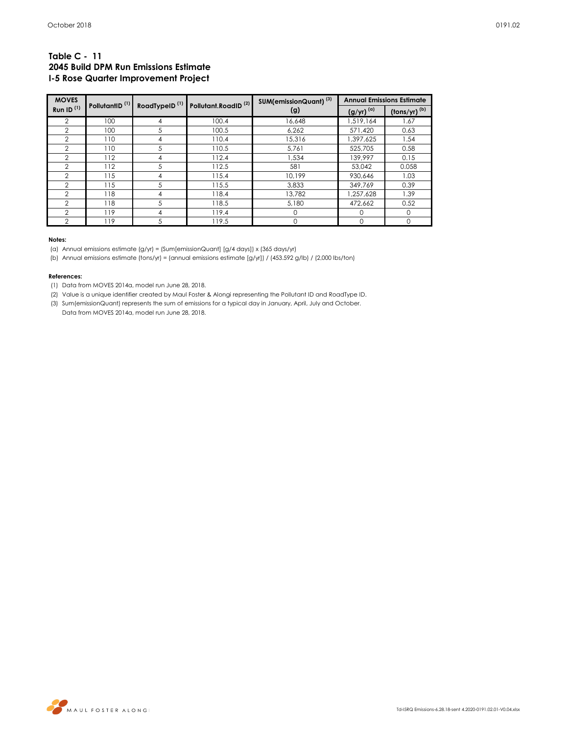## **Table C - 11 2045 Build DPM Run Emissions Estimate I-5 Rose Quarter Improvement Project**

| <b>MOVES</b>   | PollutantID <sup>(1)</sup> | RoadTypeID <sup>(1)</sup> | Pollutant.RoadID <sup>(2)</sup> | SUM(emissionQuant) <sup>(3)</sup> | <b>Annual Emissions Estimate</b> |                                                         |  |
|----------------|----------------------------|---------------------------|---------------------------------|-----------------------------------|----------------------------------|---------------------------------------------------------|--|
| Run ID $(1)$   |                            |                           |                                 | (g)                               | $(g/yr)^{(\alpha)}$              | $\frac{(\text{tons/yr})^{(b)}}{(\text{tons/yr})^{(b)}}$ |  |
| 2              | 100                        | 4                         | 100.4                           | 16,648                            | 1,519,164                        | 1.67                                                    |  |
| $\overline{2}$ | 100                        | 5                         | 100.5                           | 6,262                             | 571,420                          | 0.63                                                    |  |
| $\overline{2}$ | 110                        | 4                         | 110.4                           | 15,316                            | 1,397,625                        | 1.54                                                    |  |
| $\overline{2}$ | 110                        | 5                         | 110.5                           | 5.761                             | 525,705                          | 0.58                                                    |  |
| 2              | 112                        | 4                         | 112.4                           | 1.534                             | 139.997                          | 0.15                                                    |  |
| $\overline{2}$ | 112                        | 5                         | 112.5                           | 581                               | 53.042                           | 0.058                                                   |  |
| $\overline{2}$ | 115                        | 4                         | 115.4                           | 10.199                            | 930.646                          | 1.03                                                    |  |
| $\mathcal{P}$  | 115                        | 5                         | 115.5                           | 3.833                             | 349.769                          | 0.39                                                    |  |
| $\overline{2}$ | 118                        | 4                         | 118.4                           | 13.782                            | 1,257,628                        | 1.39                                                    |  |
| $\overline{2}$ | 118                        | 5                         | 118.5                           | 5,180                             | 472,662                          | 0.52                                                    |  |
| 2              | 119                        | 4                         | 119.4                           | $\Omega$                          | ∩                                | ∩                                                       |  |
| 2              | 119                        | 5                         | 119.5                           | 0                                 | 0                                | 0                                                       |  |

### **Notes:**

(a) Annual emissions estimate (g/yr) = (Sum[emissionQuant] [g/4 days]) x (365 days/yr)

(b) Annual emissions estimate (tons/yr) = (annual emissions estimate [g/yr]) / (453.592 g/lb) / (2,000 lbs/ton)

### **References:**

(1) Data from MOVES 2014a, model run June 28, 2018.

(2) Value is a unique identifier created by Maul Foster & Alongi representing the Pollutant ID and RoadType ID.

(3) Sum(emissionQuant) represents the sum of emissions for a typical day in January, April, July and October. Data from MOVES 2014a, model run June 28, 2018.

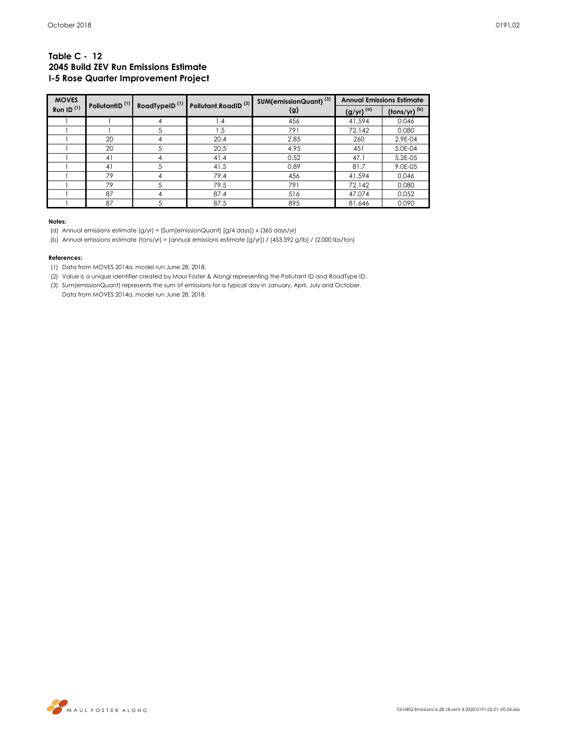## **Table C - 12 2045 Build ZEV Run Emissions Estimate I-5 Rose Quarter Improvement Project**

| <b>MOVES</b> |                            |                           | Pollutant.RoadID <sup>(2)</sup> | SUM(emissionQuant) <sup>(3)</sup> | <b>Annual Emissions Estimate</b> |                                       |  |
|--------------|----------------------------|---------------------------|---------------------------------|-----------------------------------|----------------------------------|---------------------------------------|--|
| Run ID $(1)$ | PollutantID <sup>(1)</sup> | RoadTypeID <sup>(1)</sup> |                                 | (g)                               | $(g/yr)^{(\alpha)}$              | $\frac{\text{(tons/yr)}}{\text{(b)}}$ |  |
|              |                            | 4                         | 1.4                             | 456                               | 41,594                           | 0.046                                 |  |
|              |                            | 5                         | 1.5                             | 791                               | 72,142                           | 0.080                                 |  |
|              | 20                         | 4                         | 20.4                            | 2.85                              | 260                              | 2.9E-04                               |  |
|              | 20                         | .5                        | 20.5                            | 4.95                              | 451                              | 5.0E-04                               |  |
|              | 41                         | 4                         | 41.4                            | 0.52                              | 47.1                             | 5.2E-05                               |  |
|              | 41                         | 5                         | 41.5                            | 0.89                              | 81.7                             | 9.0E-05                               |  |
|              | 79                         | 4                         | 79.4                            | 456                               | 41.594                           | 0.046                                 |  |
|              | 79                         |                           | 79.5                            | 791                               | 72.142                           | 0.080                                 |  |
|              | 87                         | 4                         | 87.4                            | 516                               | 47.074                           | 0.052                                 |  |
|              | 87                         | 5                         | 87.5                            | 895                               | 81,646                           | 0.090                                 |  |

#### **Notes:**

(a) Annual emissions estimate (g/yr) = (Sum[emissionQuant] [g/4 days]) x (365 days/yr)

(b) Annual emissions estimate (tons/yr) = (annual emissions estimate [g/yr]) / (453.592 g/lb) / (2,000 lbs/ton)

### **References:**

(1) Data from MOVES 2014a, model run June 28, 2018.

- (2) Value is a unique identifier created by Maul Foster & Alongi representing the Pollutant ID and RoadType ID.
- (3) Sum(emissionQuant) represents the sum of emissions for a typical day in January, April, July and October.

Data from MOVES 2014a, model run June 28, 2018.